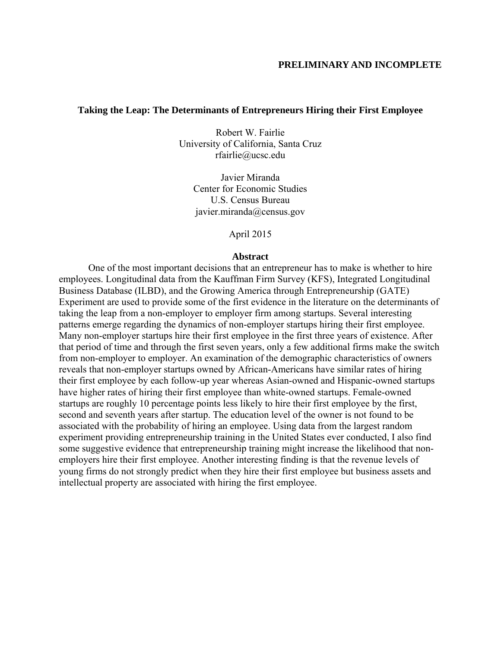### **PRELIMINARY AND INCOMPLETE**

## **Taking the Leap: The Determinants of Entrepreneurs Hiring their First Employee**

Robert W. Fairlie University of California, Santa Cruz rfairlie@ucsc.edu

> Javier Miranda Center for Economic Studies U.S. Census Bureau javier.miranda@census.gov

> > April 2015

### **Abstract**

 One of the most important decisions that an entrepreneur has to make is whether to hire employees. Longitudinal data from the Kauffman Firm Survey (KFS), Integrated Longitudinal Business Database (ILBD), and the Growing America through Entrepreneurship (GATE) Experiment are used to provide some of the first evidence in the literature on the determinants of taking the leap from a non-employer to employer firm among startups. Several interesting patterns emerge regarding the dynamics of non-employer startups hiring their first employee. Many non-employer startups hire their first employee in the first three years of existence. After that period of time and through the first seven years, only a few additional firms make the switch from non-employer to employer. An examination of the demographic characteristics of owners reveals that non-employer startups owned by African-Americans have similar rates of hiring their first employee by each follow-up year whereas Asian-owned and Hispanic-owned startups have higher rates of hiring their first employee than white-owned startups. Female-owned startups are roughly 10 percentage points less likely to hire their first employee by the first, second and seventh years after startup. The education level of the owner is not found to be associated with the probability of hiring an employee. Using data from the largest random experiment providing entrepreneurship training in the United States ever conducted, I also find some suggestive evidence that entrepreneurship training might increase the likelihood that nonemployers hire their first employee. Another interesting finding is that the revenue levels of young firms do not strongly predict when they hire their first employee but business assets and intellectual property are associated with hiring the first employee.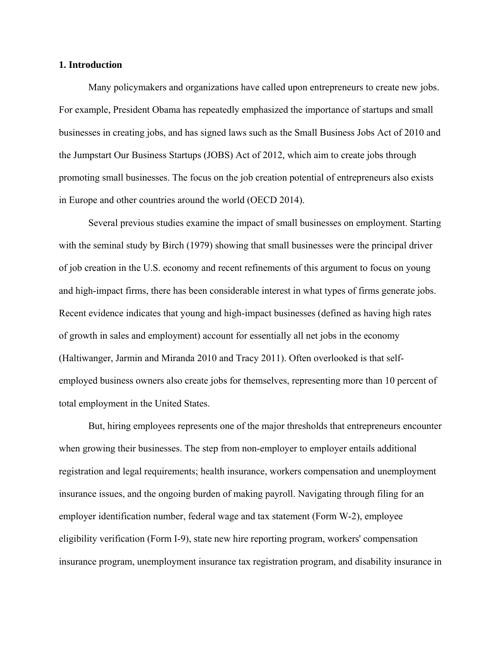### **1. Introduction**

 Many policymakers and organizations have called upon entrepreneurs to create new jobs. For example, President Obama has repeatedly emphasized the importance of startups and small businesses in creating jobs, and has signed laws such as the Small Business Jobs Act of 2010 and the Jumpstart Our Business Startups (JOBS) Act of 2012, which aim to create jobs through promoting small businesses. The focus on the job creation potential of entrepreneurs also exists in Europe and other countries around the world (OECD 2014).

Several previous studies examine the impact of small businesses on employment. Starting with the seminal study by Birch (1979) showing that small businesses were the principal driver of job creation in the U.S. economy and recent refinements of this argument to focus on young and high-impact firms, there has been considerable interest in what types of firms generate jobs. Recent evidence indicates that young and high-impact businesses (defined as having high rates of growth in sales and employment) account for essentially all net jobs in the economy (Haltiwanger, Jarmin and Miranda 2010 and Tracy 2011). Often overlooked is that selfemployed business owners also create jobs for themselves, representing more than 10 percent of total employment in the United States.

 But, hiring employees represents one of the major thresholds that entrepreneurs encounter when growing their businesses. The step from non-employer to employer entails additional registration and legal requirements; health insurance, workers compensation and unemployment insurance issues, and the ongoing burden of making payroll. Navigating through filing for an employer identification number, federal wage and tax statement (Form W-2), employee eligibility verification (Form I-9), state new hire reporting program, workers' compensation insurance program, unemployment insurance tax registration program, and disability insurance in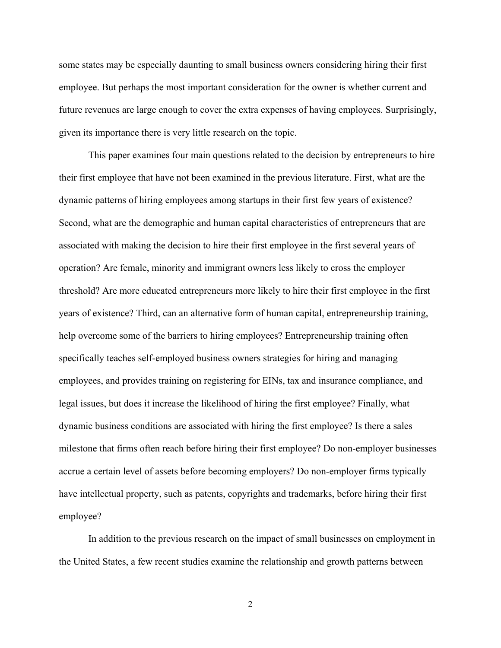some states may be especially daunting to small business owners considering hiring their first employee. But perhaps the most important consideration for the owner is whether current and future revenues are large enough to cover the extra expenses of having employees. Surprisingly, given its importance there is very little research on the topic.

 This paper examines four main questions related to the decision by entrepreneurs to hire their first employee that have not been examined in the previous literature. First, what are the dynamic patterns of hiring employees among startups in their first few years of existence? Second, what are the demographic and human capital characteristics of entrepreneurs that are associated with making the decision to hire their first employee in the first several years of operation? Are female, minority and immigrant owners less likely to cross the employer threshold? Are more educated entrepreneurs more likely to hire their first employee in the first years of existence? Third, can an alternative form of human capital, entrepreneurship training, help overcome some of the barriers to hiring employees? Entrepreneurship training often specifically teaches self-employed business owners strategies for hiring and managing employees, and provides training on registering for EINs, tax and insurance compliance, and legal issues, but does it increase the likelihood of hiring the first employee? Finally, what dynamic business conditions are associated with hiring the first employee? Is there a sales milestone that firms often reach before hiring their first employee? Do non-employer businesses accrue a certain level of assets before becoming employers? Do non-employer firms typically have intellectual property, such as patents, copyrights and trademarks, before hiring their first employee?

 In addition to the previous research on the impact of small businesses on employment in the United States, a few recent studies examine the relationship and growth patterns between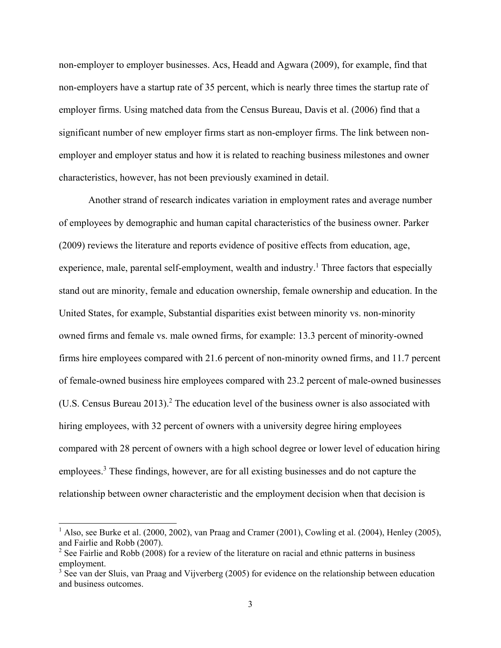non-employer to employer businesses. Acs, Headd and Agwara (2009), for example, find that non-employers have a startup rate of 35 percent, which is nearly three times the startup rate of employer firms. Using matched data from the Census Bureau, Davis et al. (2006) find that a significant number of new employer firms start as non-employer firms. The link between nonemployer and employer status and how it is related to reaching business milestones and owner characteristics, however, has not been previously examined in detail.

 Another strand of research indicates variation in employment rates and average number of employees by demographic and human capital characteristics of the business owner. Parker (2009) reviews the literature and reports evidence of positive effects from education, age, experience, male, parental self-employment, wealth and industry.<sup>1</sup> Three factors that especially stand out are minority, female and education ownership, female ownership and education. In the United States, for example, Substantial disparities exist between minority vs. non-minority owned firms and female vs. male owned firms, for example: 13.3 percent of minority-owned firms hire employees compared with 21.6 percent of non-minority owned firms, and 11.7 percent of female-owned business hire employees compared with 23.2 percent of male-owned businesses (U.S. Census Bureau 2013).<sup>2</sup> The education level of the business owner is also associated with hiring employees, with 32 percent of owners with a university degree hiring employees compared with 28 percent of owners with a high school degree or lower level of education hiring employees.<sup>3</sup> These findings, however, are for all existing businesses and do not capture the relationship between owner characteristic and the employment decision when that decision is

 $\overline{a}$ 

<sup>&</sup>lt;sup>1</sup> Also, see Burke et al. (2000, 2002), van Praag and Cramer (2001), Cowling et al. (2004), Henley (2005), and Fairlie and Robb (2007).

<sup>&</sup>lt;sup>2</sup> See Fairlie and Robb (2008) for a review of the literature on racial and ethnic patterns in business employment.

<sup>&</sup>lt;sup>3</sup> See van der Sluis, van Praag and Vijverberg (2005) for evidence on the relationship between education and business outcomes.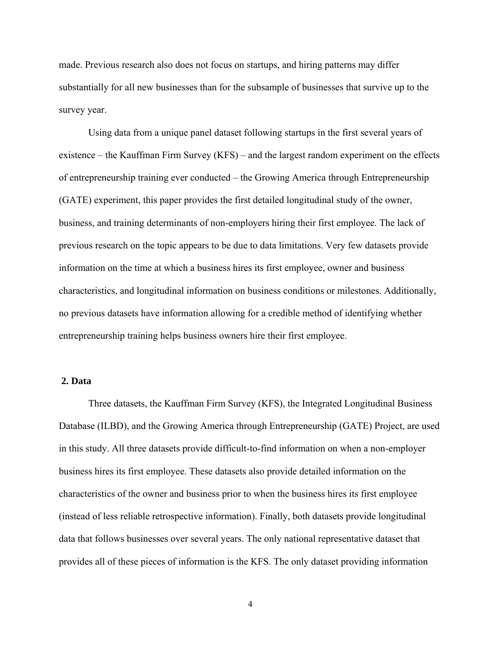made. Previous research also does not focus on startups, and hiring patterns may differ substantially for all new businesses than for the subsample of businesses that survive up to the survey year.

Using data from a unique panel dataset following startups in the first several years of existence – the Kauffman Firm Survey (KFS) – and the largest random experiment on the effects of entrepreneurship training ever conducted – the Growing America through Entrepreneurship (GATE) experiment, this paper provides the first detailed longitudinal study of the owner, business, and training determinants of non-employers hiring their first employee. The lack of previous research on the topic appears to be due to data limitations. Very few datasets provide information on the time at which a business hires its first employee, owner and business characteristics, and longitudinal information on business conditions or milestones. Additionally, no previous datasets have information allowing for a credible method of identifying whether entrepreneurship training helps business owners hire their first employee.

### **2. Data**

 Three datasets, the Kauffman Firm Survey (KFS), the Integrated Longitudinal Business Database (ILBD), and the Growing America through Entrepreneurship (GATE) Project, are used in this study. All three datasets provide difficult-to-find information on when a non-employer business hires its first employee. These datasets also provide detailed information on the characteristics of the owner and business prior to when the business hires its first employee (instead of less reliable retrospective information). Finally, both datasets provide longitudinal data that follows businesses over several years. The only national representative dataset that provides all of these pieces of information is the KFS. The only dataset providing information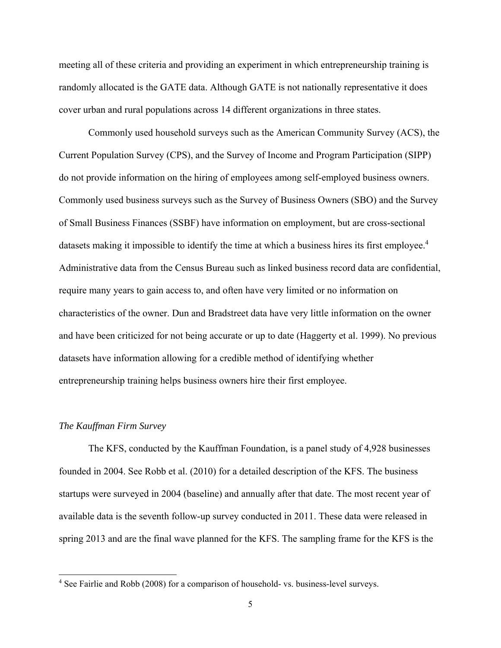meeting all of these criteria and providing an experiment in which entrepreneurship training is randomly allocated is the GATE data. Although GATE is not nationally representative it does cover urban and rural populations across 14 different organizations in three states.

 Commonly used household surveys such as the American Community Survey (ACS), the Current Population Survey (CPS), and the Survey of Income and Program Participation (SIPP) do not provide information on the hiring of employees among self-employed business owners. Commonly used business surveys such as the Survey of Business Owners (SBO) and the Survey of Small Business Finances (SSBF) have information on employment, but are cross-sectional datasets making it impossible to identify the time at which a business hires its first employee.<sup>4</sup> Administrative data from the Census Bureau such as linked business record data are confidential, require many years to gain access to, and often have very limited or no information on characteristics of the owner. Dun and Bradstreet data have very little information on the owner and have been criticized for not being accurate or up to date (Haggerty et al. 1999). No previous datasets have information allowing for a credible method of identifying whether entrepreneurship training helps business owners hire their first employee.

## *The Kauffman Firm Survey*

 $\overline{\phantom{a}}$ 

 The KFS, conducted by the Kauffman Foundation, is a panel study of 4,928 businesses founded in 2004. See Robb et al. (2010) for a detailed description of the KFS. The business startups were surveyed in 2004 (baseline) and annually after that date. The most recent year of available data is the seventh follow-up survey conducted in 2011. These data were released in spring 2013 and are the final wave planned for the KFS. The sampling frame for the KFS is the

<sup>&</sup>lt;sup>4</sup> See Fairlie and Robb (2008) for a comparison of household- vs. business-level surveys.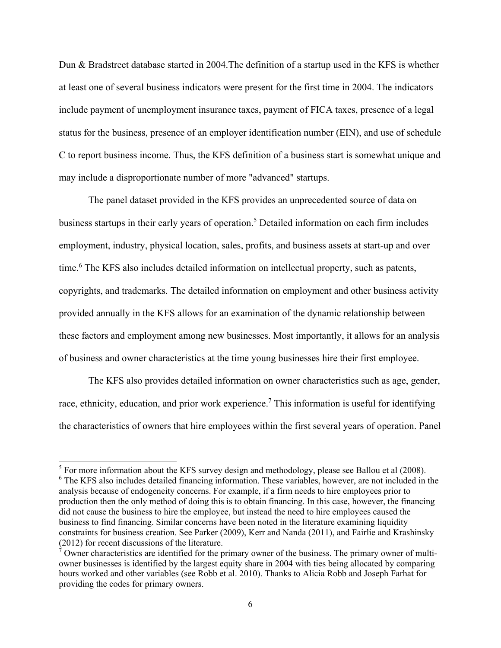Dun & Bradstreet database started in 2004.The definition of a startup used in the KFS is whether at least one of several business indicators were present for the first time in 2004. The indicators include payment of unemployment insurance taxes, payment of FICA taxes, presence of a legal status for the business, presence of an employer identification number (EIN), and use of schedule C to report business income. Thus, the KFS definition of a business start is somewhat unique and may include a disproportionate number of more "advanced" startups.

 The panel dataset provided in the KFS provides an unprecedented source of data on business startups in their early years of operation.<sup>5</sup> Detailed information on each firm includes employment, industry, physical location, sales, profits, and business assets at start-up and over time.<sup>6</sup> The KFS also includes detailed information on intellectual property, such as patents, copyrights, and trademarks. The detailed information on employment and other business activity provided annually in the KFS allows for an examination of the dynamic relationship between these factors and employment among new businesses. Most importantly, it allows for an analysis of business and owner characteristics at the time young businesses hire their first employee.

The KFS also provides detailed information on owner characteristics such as age, gender, race, ethnicity, education, and prior work experience.<sup>7</sup> This information is useful for identifying the characteristics of owners that hire employees within the first several years of operation. Panel

<sup>&</sup>lt;sup>5</sup> For more information about the KFS survey design and methodology, please see Ballou et al (2008). <sup>6</sup> The KFS also includes detailed financing information. These variables, however, are not included in the analysis because of endogeneity concerns. For example, if a firm needs to hire employees prior to production then the only method of doing this is to obtain financing. In this case, however, the financing did not cause the business to hire the employee, but instead the need to hire employees caused the business to find financing. Similar concerns have been noted in the literature examining liquidity constraints for business creation. See Parker (2009), Kerr and Nanda (2011), and Fairlie and Krashinsky (2012) for recent discussions of the literature.

 $7$  Owner characteristics are identified for the primary owner of the business. The primary owner of multiowner businesses is identified by the largest equity share in 2004 with ties being allocated by comparing hours worked and other variables (see Robb et al. 2010). Thanks to Alicia Robb and Joseph Farhat for providing the codes for primary owners.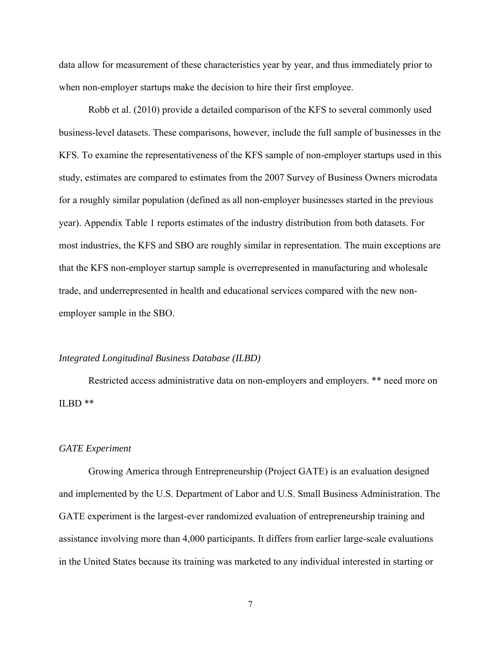data allow for measurement of these characteristics year by year, and thus immediately prior to when non-employer startups make the decision to hire their first employee.

Robb et al. (2010) provide a detailed comparison of the KFS to several commonly used business-level datasets. These comparisons, however, include the full sample of businesses in the KFS. To examine the representativeness of the KFS sample of non-employer startups used in this study, estimates are compared to estimates from the 2007 Survey of Business Owners microdata for a roughly similar population (defined as all non-employer businesses started in the previous year). Appendix Table 1 reports estimates of the industry distribution from both datasets. For most industries, the KFS and SBO are roughly similar in representation. The main exceptions are that the KFS non-employer startup sample is overrepresented in manufacturing and wholesale trade, and underrepresented in health and educational services compared with the new nonemployer sample in the SBO.

### *Integrated Longitudinal Business Database (ILBD)*

 Restricted access administrative data on non-employers and employers. \*\* need more on ILBD \*\*

## *GATE Experiment*

 Growing America through Entrepreneurship (Project GATE) is an evaluation designed and implemented by the U.S. Department of Labor and U.S. Small Business Administration. The GATE experiment is the largest-ever randomized evaluation of entrepreneurship training and assistance involving more than 4,000 participants. It differs from earlier large-scale evaluations in the United States because its training was marketed to any individual interested in starting or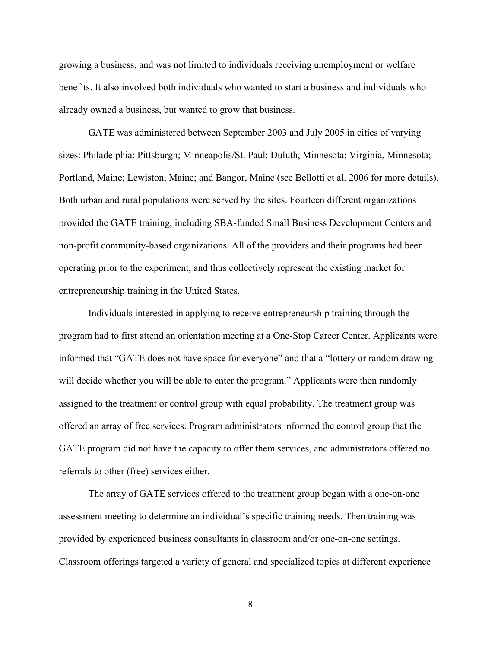growing a business, and was not limited to individuals receiving unemployment or welfare benefits. It also involved both individuals who wanted to start a business and individuals who already owned a business, but wanted to grow that business.

 GATE was administered between September 2003 and July 2005 in cities of varying sizes: Philadelphia; Pittsburgh; Minneapolis/St. Paul; Duluth, Minnesota; Virginia, Minnesota; Portland, Maine; Lewiston, Maine; and Bangor, Maine (see Bellotti et al. 2006 for more details). Both urban and rural populations were served by the sites. Fourteen different organizations provided the GATE training, including SBA-funded Small Business Development Centers and non-profit community-based organizations. All of the providers and their programs had been operating prior to the experiment, and thus collectively represent the existing market for entrepreneurship training in the United States.

 Individuals interested in applying to receive entrepreneurship training through the program had to first attend an orientation meeting at a One-Stop Career Center. Applicants were informed that "GATE does not have space for everyone" and that a "lottery or random drawing will decide whether you will be able to enter the program." Applicants were then randomly assigned to the treatment or control group with equal probability. The treatment group was offered an array of free services. Program administrators informed the control group that the GATE program did not have the capacity to offer them services, and administrators offered no referrals to other (free) services either.

 The array of GATE services offered to the treatment group began with a one-on-one assessment meeting to determine an individual's specific training needs. Then training was provided by experienced business consultants in classroom and/or one-on-one settings. Classroom offerings targeted a variety of general and specialized topics at different experience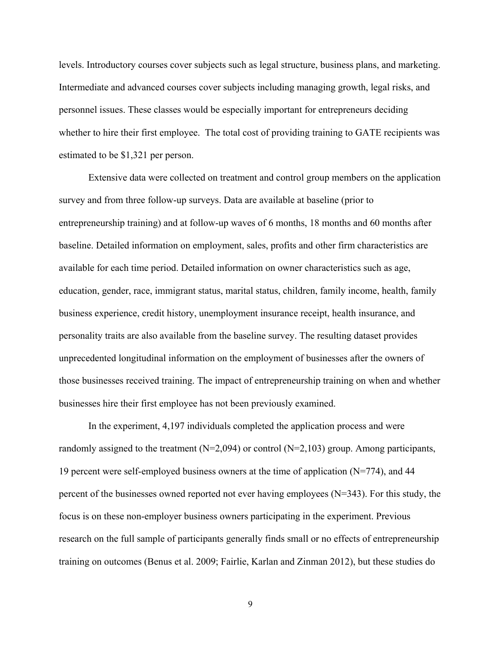levels. Introductory courses cover subjects such as legal structure, business plans, and marketing. Intermediate and advanced courses cover subjects including managing growth, legal risks, and personnel issues. These classes would be especially important for entrepreneurs deciding whether to hire their first employee. The total cost of providing training to GATE recipients was estimated to be \$1,321 per person.

 Extensive data were collected on treatment and control group members on the application survey and from three follow-up surveys. Data are available at baseline (prior to entrepreneurship training) and at follow-up waves of 6 months, 18 months and 60 months after baseline. Detailed information on employment, sales, profits and other firm characteristics are available for each time period. Detailed information on owner characteristics such as age, education, gender, race, immigrant status, marital status, children, family income, health, family business experience, credit history, unemployment insurance receipt, health insurance, and personality traits are also available from the baseline survey. The resulting dataset provides unprecedented longitudinal information on the employment of businesses after the owners of those businesses received training. The impact of entrepreneurship training on when and whether businesses hire their first employee has not been previously examined.

 In the experiment, 4,197 individuals completed the application process and were randomly assigned to the treatment  $(N=2,094)$  or control  $(N=2,103)$  group. Among participants, 19 percent were self-employed business owners at the time of application (N=774), and 44 percent of the businesses owned reported not ever having employees (N=343). For this study, the focus is on these non-employer business owners participating in the experiment. Previous research on the full sample of participants generally finds small or no effects of entrepreneurship training on outcomes (Benus et al. 2009; Fairlie, Karlan and Zinman 2012), but these studies do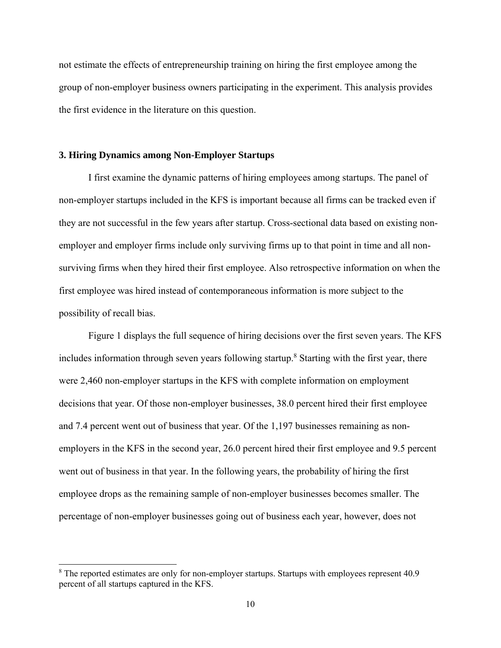not estimate the effects of entrepreneurship training on hiring the first employee among the group of non-employer business owners participating in the experiment. This analysis provides the first evidence in the literature on this question.

## **3. Hiring Dynamics among Non-Employer Startups**

 I first examine the dynamic patterns of hiring employees among startups. The panel of non-employer startups included in the KFS is important because all firms can be tracked even if they are not successful in the few years after startup. Cross-sectional data based on existing nonemployer and employer firms include only surviving firms up to that point in time and all nonsurviving firms when they hired their first employee. Also retrospective information on when the first employee was hired instead of contemporaneous information is more subject to the possibility of recall bias.

 Figure 1 displays the full sequence of hiring decisions over the first seven years. The KFS includes information through seven years following startup.<sup>8</sup> Starting with the first year, there were 2,460 non-employer startups in the KFS with complete information on employment decisions that year. Of those non-employer businesses, 38.0 percent hired their first employee and 7.4 percent went out of business that year. Of the 1,197 businesses remaining as nonemployers in the KFS in the second year, 26.0 percent hired their first employee and 9.5 percent went out of business in that year. In the following years, the probability of hiring the first employee drops as the remaining sample of non-employer businesses becomes smaller. The percentage of non-employer businesses going out of business each year, however, does not

 $\overline{\phantom{a}}$ 

 $8$  The reported estimates are only for non-employer startups. Startups with employees represent 40.9 percent of all startups captured in the KFS.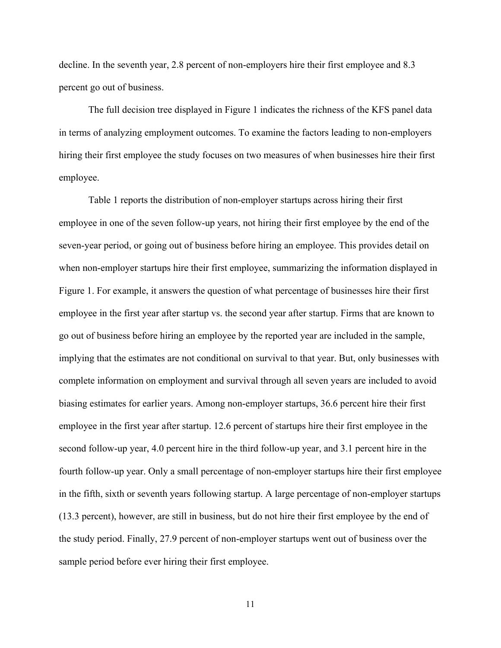decline. In the seventh year, 2.8 percent of non-employers hire their first employee and 8.3 percent go out of business.

 The full decision tree displayed in Figure 1 indicates the richness of the KFS panel data in terms of analyzing employment outcomes. To examine the factors leading to non-employers hiring their first employee the study focuses on two measures of when businesses hire their first employee.

 Table 1 reports the distribution of non-employer startups across hiring their first employee in one of the seven follow-up years, not hiring their first employee by the end of the seven-year period, or going out of business before hiring an employee. This provides detail on when non-employer startups hire their first employee, summarizing the information displayed in Figure 1. For example, it answers the question of what percentage of businesses hire their first employee in the first year after startup vs. the second year after startup. Firms that are known to go out of business before hiring an employee by the reported year are included in the sample, implying that the estimates are not conditional on survival to that year. But, only businesses with complete information on employment and survival through all seven years are included to avoid biasing estimates for earlier years. Among non-employer startups, 36.6 percent hire their first employee in the first year after startup. 12.6 percent of startups hire their first employee in the second follow-up year, 4.0 percent hire in the third follow-up year, and 3.1 percent hire in the fourth follow-up year. Only a small percentage of non-employer startups hire their first employee in the fifth, sixth or seventh years following startup. A large percentage of non-employer startups (13.3 percent), however, are still in business, but do not hire their first employee by the end of the study period. Finally, 27.9 percent of non-employer startups went out of business over the sample period before ever hiring their first employee.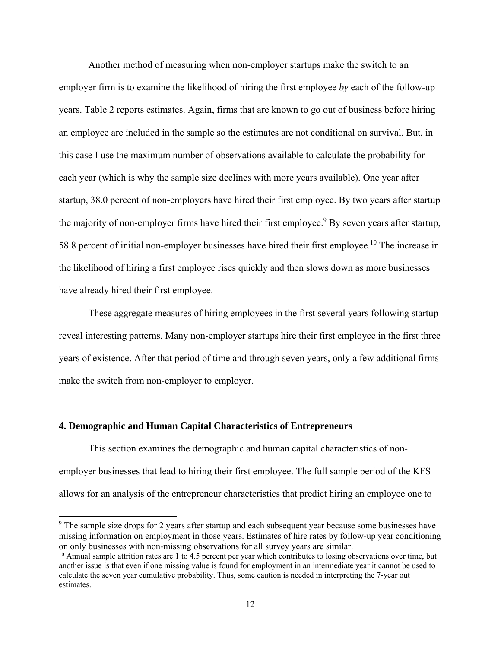Another method of measuring when non-employer startups make the switch to an employer firm is to examine the likelihood of hiring the first employee *by* each of the follow-up years. Table 2 reports estimates. Again, firms that are known to go out of business before hiring an employee are included in the sample so the estimates are not conditional on survival. But, in this case I use the maximum number of observations available to calculate the probability for each year (which is why the sample size declines with more years available). One year after startup, 38.0 percent of non-employers have hired their first employee. By two years after startup the majority of non-employer firms have hired their first employee.<sup>9</sup> By seven years after startup, 58.8 percent of initial non-employer businesses have hired their first employee.10 The increase in the likelihood of hiring a first employee rises quickly and then slows down as more businesses have already hired their first employee.

 These aggregate measures of hiring employees in the first several years following startup reveal interesting patterns. Many non-employer startups hire their first employee in the first three years of existence. After that period of time and through seven years, only a few additional firms make the switch from non-employer to employer.

## **4. Demographic and Human Capital Characteristics of Entrepreneurs**

 $\overline{\phantom{a}}$ 

This section examines the demographic and human capital characteristics of nonemployer businesses that lead to hiring their first employee. The full sample period of the KFS allows for an analysis of the entrepreneur characteristics that predict hiring an employee one to

<sup>&</sup>lt;sup>9</sup> The sample size drops for 2 years after startup and each subsequent year because some businesses have missing information on employment in those years. Estimates of hire rates by follow-up year conditioning<br>on only businesses with non-missing observations for all survey years are similar.

 $10$  Annual sample attrition rates are 1 to 4.5 percent per year which contributes to losing observations over time, but another issue is that even if one missing value is found for employment in an intermediate year it cannot be used to calculate the seven year cumulative probability. Thus, some caution is needed in interpreting the 7-year out estimates.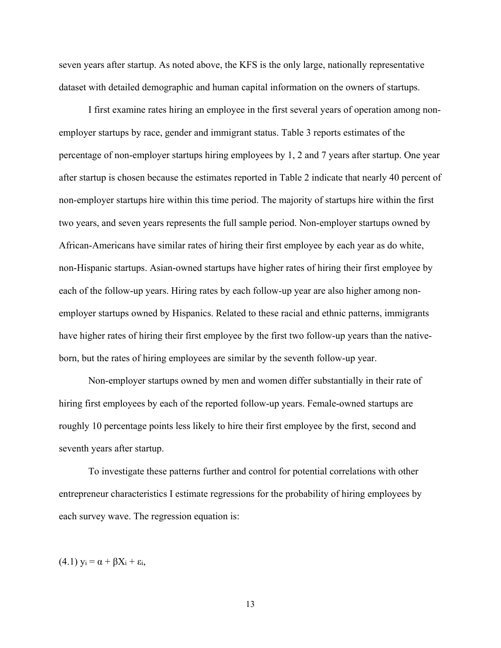seven years after startup. As noted above, the KFS is the only large, nationally representative dataset with detailed demographic and human capital information on the owners of startups.

 I first examine rates hiring an employee in the first several years of operation among nonemployer startups by race, gender and immigrant status. Table 3 reports estimates of the percentage of non-employer startups hiring employees by 1, 2 and 7 years after startup. One year after startup is chosen because the estimates reported in Table 2 indicate that nearly 40 percent of non-employer startups hire within this time period. The majority of startups hire within the first two years, and seven years represents the full sample period. Non-employer startups owned by African-Americans have similar rates of hiring their first employee by each year as do white, non-Hispanic startups. Asian-owned startups have higher rates of hiring their first employee by each of the follow-up years. Hiring rates by each follow-up year are also higher among nonemployer startups owned by Hispanics. Related to these racial and ethnic patterns, immigrants have higher rates of hiring their first employee by the first two follow-up years than the nativeborn, but the rates of hiring employees are similar by the seventh follow-up year.

 Non-employer startups owned by men and women differ substantially in their rate of hiring first employees by each of the reported follow-up years. Female-owned startups are roughly 10 percentage points less likely to hire their first employee by the first, second and seventh years after startup.

 To investigate these patterns further and control for potential correlations with other entrepreneur characteristics I estimate regressions for the probability of hiring employees by each survey wave. The regression equation is:

(4.1)  $y_i = \alpha + \beta X_i + \varepsilon_i$ ,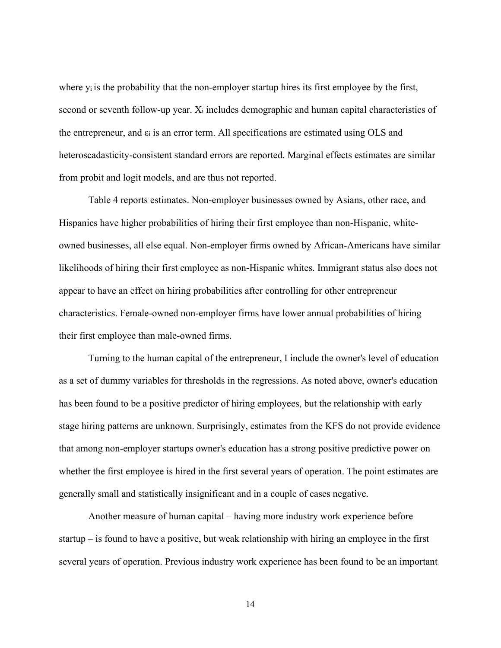where y<sub>i</sub> is the probability that the non-employer startup hires its first employee by the first, second or seventh follow-up year. X<sub>i</sub> includes demographic and human capital characteristics of the entrepreneur, and  $\varepsilon_i$  is an error term. All specifications are estimated using OLS and heteroscadasticity-consistent standard errors are reported. Marginal effects estimates are similar from probit and logit models, and are thus not reported.

Table 4 reports estimates. Non-employer businesses owned by Asians, other race, and Hispanics have higher probabilities of hiring their first employee than non-Hispanic, whiteowned businesses, all else equal. Non-employer firms owned by African-Americans have similar likelihoods of hiring their first employee as non-Hispanic whites. Immigrant status also does not appear to have an effect on hiring probabilities after controlling for other entrepreneur characteristics. Female-owned non-employer firms have lower annual probabilities of hiring their first employee than male-owned firms.

 Turning to the human capital of the entrepreneur, I include the owner's level of education as a set of dummy variables for thresholds in the regressions. As noted above, owner's education has been found to be a positive predictor of hiring employees, but the relationship with early stage hiring patterns are unknown. Surprisingly, estimates from the KFS do not provide evidence that among non-employer startups owner's education has a strong positive predictive power on whether the first employee is hired in the first several years of operation. The point estimates are generally small and statistically insignificant and in a couple of cases negative.

Another measure of human capital – having more industry work experience before startup – is found to have a positive, but weak relationship with hiring an employee in the first several years of operation. Previous industry work experience has been found to be an important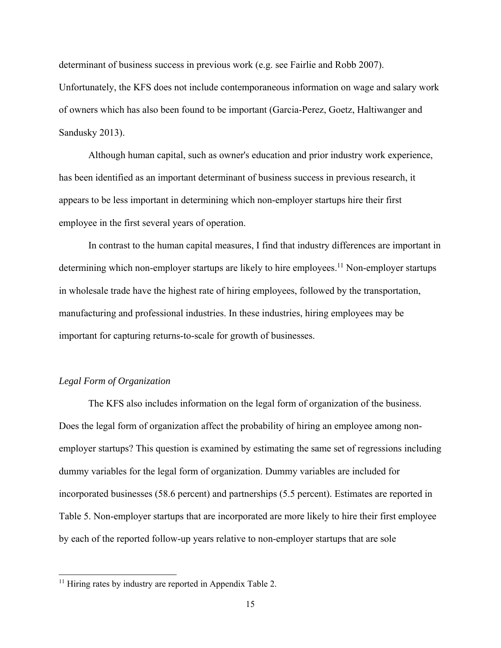determinant of business success in previous work (e.g. see Fairlie and Robb 2007). Unfortunately, the KFS does not include contemporaneous information on wage and salary work of owners which has also been found to be important (Garcia-Perez, Goetz, Haltiwanger and Sandusky 2013).

Although human capital, such as owner's education and prior industry work experience, has been identified as an important determinant of business success in previous research, it appears to be less important in determining which non-employer startups hire their first employee in the first several years of operation.

 In contrast to the human capital measures, I find that industry differences are important in determining which non-employer startups are likely to hire employees.<sup>11</sup> Non-employer startups in wholesale trade have the highest rate of hiring employees, followed by the transportation, manufacturing and professional industries. In these industries, hiring employees may be important for capturing returns-to-scale for growth of businesses.

## *Legal Form of Organization*

 $\overline{\phantom{a}}$ 

 The KFS also includes information on the legal form of organization of the business. Does the legal form of organization affect the probability of hiring an employee among nonemployer startups? This question is examined by estimating the same set of regressions including dummy variables for the legal form of organization. Dummy variables are included for incorporated businesses (58.6 percent) and partnerships (5.5 percent). Estimates are reported in Table 5. Non-employer startups that are incorporated are more likely to hire their first employee by each of the reported follow-up years relative to non-employer startups that are sole

<sup>&</sup>lt;sup>11</sup> Hiring rates by industry are reported in Appendix Table 2.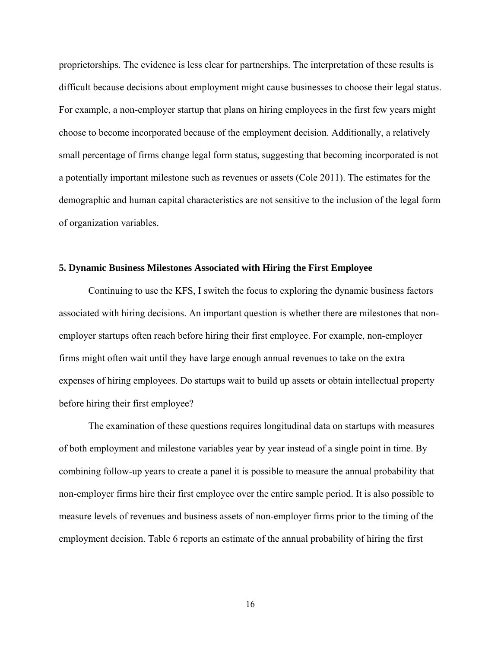proprietorships. The evidence is less clear for partnerships. The interpretation of these results is difficult because decisions about employment might cause businesses to choose their legal status. For example, a non-employer startup that plans on hiring employees in the first few years might choose to become incorporated because of the employment decision. Additionally, a relatively small percentage of firms change legal form status, suggesting that becoming incorporated is not a potentially important milestone such as revenues or assets (Cole 2011). The estimates for the demographic and human capital characteristics are not sensitive to the inclusion of the legal form of organization variables.

## **5. Dynamic Business Milestones Associated with Hiring the First Employee**

 Continuing to use the KFS, I switch the focus to exploring the dynamic business factors associated with hiring decisions. An important question is whether there are milestones that nonemployer startups often reach before hiring their first employee. For example, non-employer firms might often wait until they have large enough annual revenues to take on the extra expenses of hiring employees. Do startups wait to build up assets or obtain intellectual property before hiring their first employee?

 The examination of these questions requires longitudinal data on startups with measures of both employment and milestone variables year by year instead of a single point in time. By combining follow-up years to create a panel it is possible to measure the annual probability that non-employer firms hire their first employee over the entire sample period. It is also possible to measure levels of revenues and business assets of non-employer firms prior to the timing of the employment decision. Table 6 reports an estimate of the annual probability of hiring the first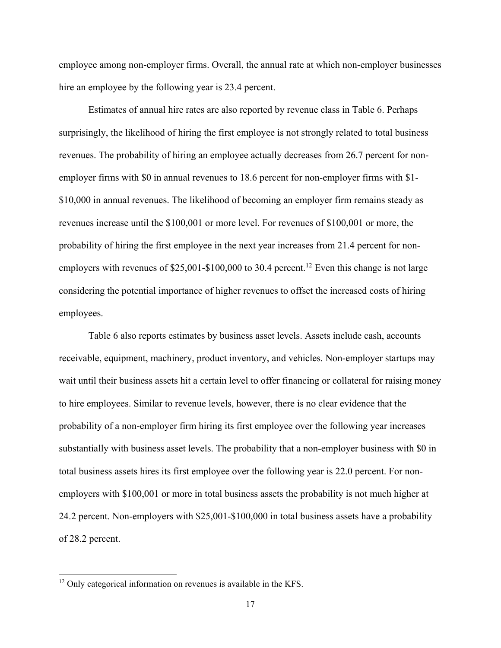employee among non-employer firms. Overall, the annual rate at which non-employer businesses hire an employee by the following year is 23.4 percent.

 Estimates of annual hire rates are also reported by revenue class in Table 6. Perhaps surprisingly, the likelihood of hiring the first employee is not strongly related to total business revenues. The probability of hiring an employee actually decreases from 26.7 percent for nonemployer firms with \$0 in annual revenues to 18.6 percent for non-employer firms with \$1- \$10,000 in annual revenues. The likelihood of becoming an employer firm remains steady as revenues increase until the \$100,001 or more level. For revenues of \$100,001 or more, the probability of hiring the first employee in the next year increases from 21.4 percent for nonemployers with revenues of  $$25,001-\$100,000$  to 30.4 percent.<sup>12</sup> Even this change is not large considering the potential importance of higher revenues to offset the increased costs of hiring employees.

 Table 6 also reports estimates by business asset levels. Assets include cash, accounts receivable, equipment, machinery, product inventory, and vehicles. Non-employer startups may wait until their business assets hit a certain level to offer financing or collateral for raising money to hire employees. Similar to revenue levels, however, there is no clear evidence that the probability of a non-employer firm hiring its first employee over the following year increases substantially with business asset levels. The probability that a non-employer business with \$0 in total business assets hires its first employee over the following year is 22.0 percent. For nonemployers with \$100,001 or more in total business assets the probability is not much higher at 24.2 percent. Non-employers with \$25,001-\$100,000 in total business assets have a probability of 28.2 percent.

 $\overline{\phantom{a}}$ 

 $12$  Only categorical information on revenues is available in the KFS.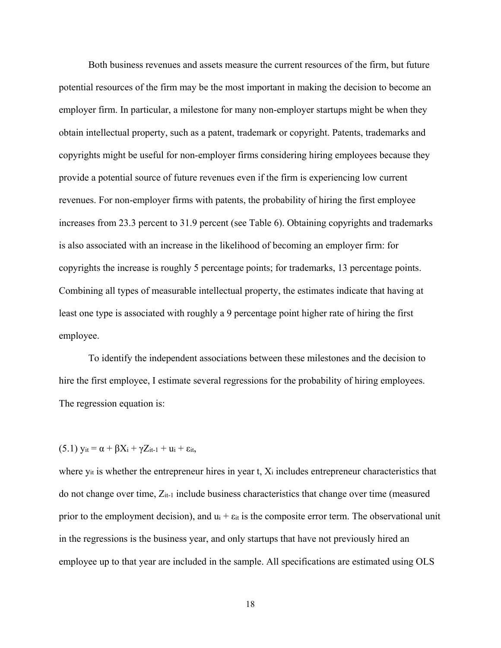Both business revenues and assets measure the current resources of the firm, but future potential resources of the firm may be the most important in making the decision to become an employer firm. In particular, a milestone for many non-employer startups might be when they obtain intellectual property, such as a patent, trademark or copyright. Patents, trademarks and copyrights might be useful for non-employer firms considering hiring employees because they provide a potential source of future revenues even if the firm is experiencing low current revenues. For non-employer firms with patents, the probability of hiring the first employee increases from 23.3 percent to 31.9 percent (see Table 6). Obtaining copyrights and trademarks is also associated with an increase in the likelihood of becoming an employer firm: for copyrights the increase is roughly 5 percentage points; for trademarks, 13 percentage points. Combining all types of measurable intellectual property, the estimates indicate that having at least one type is associated with roughly a 9 percentage point higher rate of hiring the first employee.

 To identify the independent associations between these milestones and the decision to hire the first employee, I estimate several regressions for the probability of hiring employees. The regression equation is:

## $(5.1)$  y<sub>it</sub> =  $\alpha$  +  $\beta$ X<sub>i</sub> +  $\gamma$ Z<sub>it-1</sub> +  $u_i$  +  $\varepsilon$ <sub>it</sub>,

where y<sub>it</sub> is whether the entrepreneur hires in year t,  $X_i$  includes entrepreneur characteristics that do not change over time, Zit-1 include business characteristics that change over time (measured prior to the employment decision), and  $u_i + \varepsilon_{it}$  is the composite error term. The observational unit in the regressions is the business year, and only startups that have not previously hired an employee up to that year are included in the sample. All specifications are estimated using OLS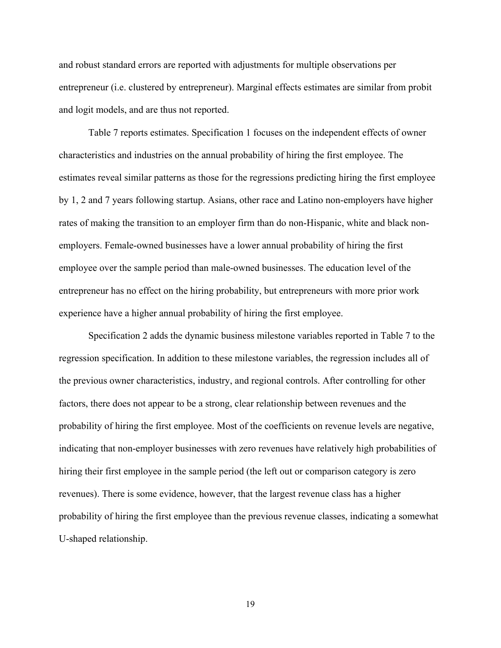and robust standard errors are reported with adjustments for multiple observations per entrepreneur (i.e. clustered by entrepreneur). Marginal effects estimates are similar from probit and logit models, and are thus not reported.

Table 7 reports estimates. Specification 1 focuses on the independent effects of owner characteristics and industries on the annual probability of hiring the first employee. The estimates reveal similar patterns as those for the regressions predicting hiring the first employee by 1, 2 and 7 years following startup. Asians, other race and Latino non-employers have higher rates of making the transition to an employer firm than do non-Hispanic, white and black nonemployers. Female-owned businesses have a lower annual probability of hiring the first employee over the sample period than male-owned businesses. The education level of the entrepreneur has no effect on the hiring probability, but entrepreneurs with more prior work experience have a higher annual probability of hiring the first employee.

 Specification 2 adds the dynamic business milestone variables reported in Table 7 to the regression specification. In addition to these milestone variables, the regression includes all of the previous owner characteristics, industry, and regional controls. After controlling for other factors, there does not appear to be a strong, clear relationship between revenues and the probability of hiring the first employee. Most of the coefficients on revenue levels are negative, indicating that non-employer businesses with zero revenues have relatively high probabilities of hiring their first employee in the sample period (the left out or comparison category is zero revenues). There is some evidence, however, that the largest revenue class has a higher probability of hiring the first employee than the previous revenue classes, indicating a somewhat U-shaped relationship.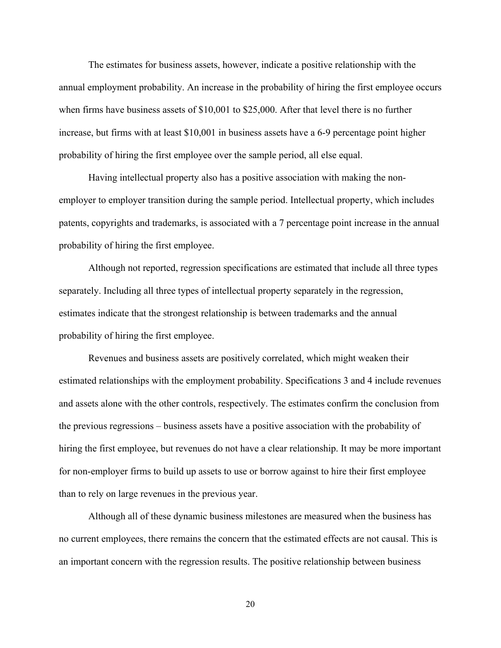The estimates for business assets, however, indicate a positive relationship with the annual employment probability. An increase in the probability of hiring the first employee occurs when firms have business assets of \$10,001 to \$25,000. After that level there is no further increase, but firms with at least \$10,001 in business assets have a 6-9 percentage point higher probability of hiring the first employee over the sample period, all else equal.

 Having intellectual property also has a positive association with making the nonemployer to employer transition during the sample period. Intellectual property, which includes patents, copyrights and trademarks, is associated with a 7 percentage point increase in the annual probability of hiring the first employee.

 Although not reported, regression specifications are estimated that include all three types separately. Including all three types of intellectual property separately in the regression, estimates indicate that the strongest relationship is between trademarks and the annual probability of hiring the first employee.

 Revenues and business assets are positively correlated, which might weaken their estimated relationships with the employment probability. Specifications 3 and 4 include revenues and assets alone with the other controls, respectively. The estimates confirm the conclusion from the previous regressions – business assets have a positive association with the probability of hiring the first employee, but revenues do not have a clear relationship. It may be more important for non-employer firms to build up assets to use or borrow against to hire their first employee than to rely on large revenues in the previous year.

 Although all of these dynamic business milestones are measured when the business has no current employees, there remains the concern that the estimated effects are not causal. This is an important concern with the regression results. The positive relationship between business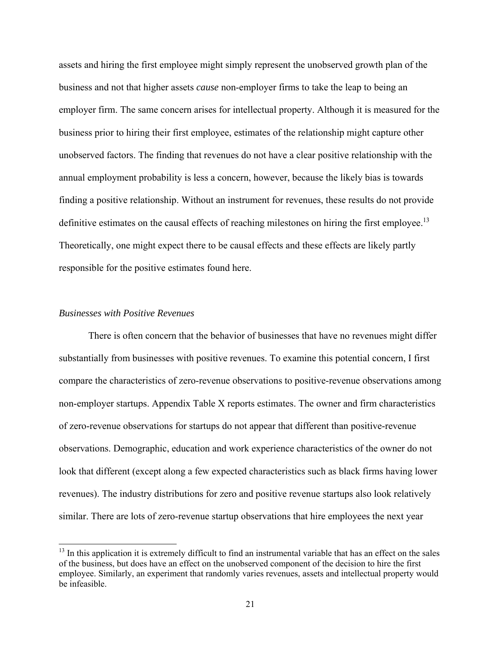assets and hiring the first employee might simply represent the unobserved growth plan of the business and not that higher assets *cause* non-employer firms to take the leap to being an employer firm. The same concern arises for intellectual property. Although it is measured for the business prior to hiring their first employee, estimates of the relationship might capture other unobserved factors. The finding that revenues do not have a clear positive relationship with the annual employment probability is less a concern, however, because the likely bias is towards finding a positive relationship. Without an instrument for revenues, these results do not provide definitive estimates on the causal effects of reaching milestones on hiring the first employee.<sup>13</sup> Theoretically, one might expect there to be causal effects and these effects are likely partly responsible for the positive estimates found here.

## *Businesses with Positive Revenues*

 $\overline{\phantom{a}}$ 

 There is often concern that the behavior of businesses that have no revenues might differ substantially from businesses with positive revenues. To examine this potential concern, I first compare the characteristics of zero-revenue observations to positive-revenue observations among non-employer startups. Appendix Table X reports estimates. The owner and firm characteristics of zero-revenue observations for startups do not appear that different than positive-revenue observations. Demographic, education and work experience characteristics of the owner do not look that different (except along a few expected characteristics such as black firms having lower revenues). The industry distributions for zero and positive revenue startups also look relatively similar. There are lots of zero-revenue startup observations that hire employees the next year

 $13$  In this application it is extremely difficult to find an instrumental variable that has an effect on the sales of the business, but does have an effect on the unobserved component of the decision to hire the first employee. Similarly, an experiment that randomly varies revenues, assets and intellectual property would be infeasible.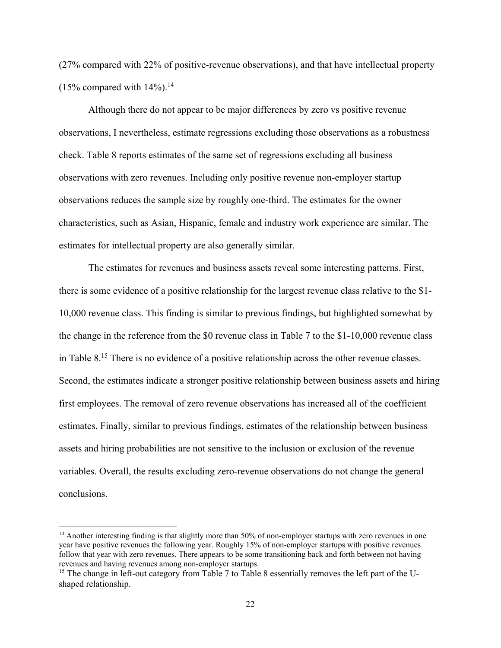(27% compared with 22% of positive-revenue observations), and that have intellectual property  $(15\%$  compared with  $14\%$ ).<sup>14</sup>

 Although there do not appear to be major differences by zero vs positive revenue observations, I nevertheless, estimate regressions excluding those observations as a robustness check. Table 8 reports estimates of the same set of regressions excluding all business observations with zero revenues. Including only positive revenue non-employer startup observations reduces the sample size by roughly one-third. The estimates for the owner characteristics, such as Asian, Hispanic, female and industry work experience are similar. The estimates for intellectual property are also generally similar.

 The estimates for revenues and business assets reveal some interesting patterns. First, there is some evidence of a positive relationship for the largest revenue class relative to the \$1- 10,000 revenue class. This finding is similar to previous findings, but highlighted somewhat by the change in the reference from the \$0 revenue class in Table 7 to the \$1-10,000 revenue class in Table 8.15 There is no evidence of a positive relationship across the other revenue classes. Second, the estimates indicate a stronger positive relationship between business assets and hiring first employees. The removal of zero revenue observations has increased all of the coefficient estimates. Finally, similar to previous findings, estimates of the relationship between business assets and hiring probabilities are not sensitive to the inclusion or exclusion of the revenue variables. Overall, the results excluding zero-revenue observations do not change the general conclusions.

 $\overline{a}$ 

<sup>&</sup>lt;sup>14</sup> Another interesting finding is that slightly more than 50% of non-employer startups with zero revenues in one year have positive revenues the following year. Roughly 15% of non-employer startups with positive revenues follow that year with zero revenues. There appears to be some transitioning back and forth between not having revenues and having revenues among non-employer startups.

<sup>&</sup>lt;sup>15</sup> The change in left-out category from Table 7 to Table 8 essentially removes the left part of the Ushaped relationship.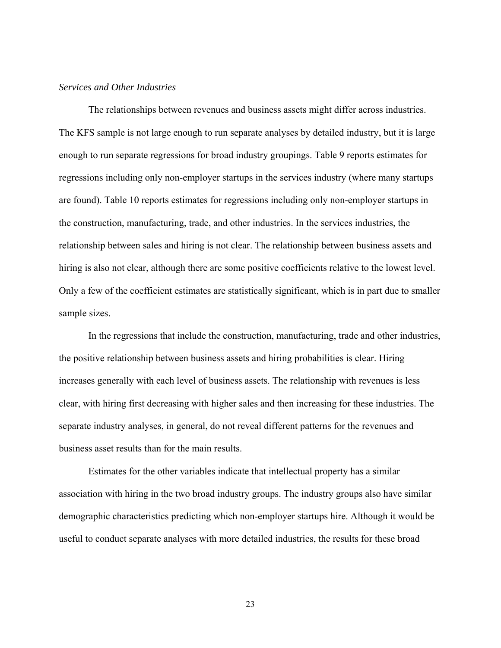### *Services and Other Industries*

 The relationships between revenues and business assets might differ across industries. The KFS sample is not large enough to run separate analyses by detailed industry, but it is large enough to run separate regressions for broad industry groupings. Table 9 reports estimates for regressions including only non-employer startups in the services industry (where many startups are found). Table 10 reports estimates for regressions including only non-employer startups in the construction, manufacturing, trade, and other industries. In the services industries, the relationship between sales and hiring is not clear. The relationship between business assets and hiring is also not clear, although there are some positive coefficients relative to the lowest level. Only a few of the coefficient estimates are statistically significant, which is in part due to smaller sample sizes.

 In the regressions that include the construction, manufacturing, trade and other industries, the positive relationship between business assets and hiring probabilities is clear. Hiring increases generally with each level of business assets. The relationship with revenues is less clear, with hiring first decreasing with higher sales and then increasing for these industries. The separate industry analyses, in general, do not reveal different patterns for the revenues and business asset results than for the main results.

 Estimates for the other variables indicate that intellectual property has a similar association with hiring in the two broad industry groups. The industry groups also have similar demographic characteristics predicting which non-employer startups hire. Although it would be useful to conduct separate analyses with more detailed industries, the results for these broad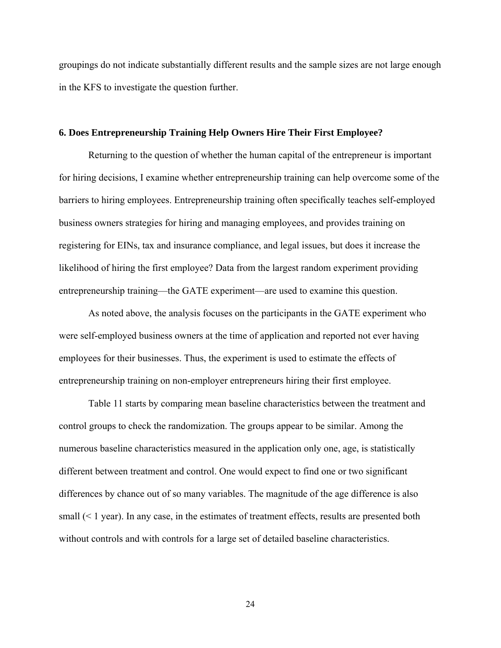groupings do not indicate substantially different results and the sample sizes are not large enough in the KFS to investigate the question further.

### **6. Does Entrepreneurship Training Help Owners Hire Their First Employee?**

 Returning to the question of whether the human capital of the entrepreneur is important for hiring decisions, I examine whether entrepreneurship training can help overcome some of the barriers to hiring employees. Entrepreneurship training often specifically teaches self-employed business owners strategies for hiring and managing employees, and provides training on registering for EINs, tax and insurance compliance, and legal issues, but does it increase the likelihood of hiring the first employee? Data from the largest random experiment providing entrepreneurship training—the GATE experiment—are used to examine this question.

 As noted above, the analysis focuses on the participants in the GATE experiment who were self-employed business owners at the time of application and reported not ever having employees for their businesses. Thus, the experiment is used to estimate the effects of entrepreneurship training on non-employer entrepreneurs hiring their first employee.

 Table 11 starts by comparing mean baseline characteristics between the treatment and control groups to check the randomization. The groups appear to be similar. Among the numerous baseline characteristics measured in the application only one, age, is statistically different between treatment and control. One would expect to find one or two significant differences by chance out of so many variables. The magnitude of the age difference is also small  $( $1$  year)$ . In any case, in the estimates of treatment effects, results are presented both without controls and with controls for a large set of detailed baseline characteristics.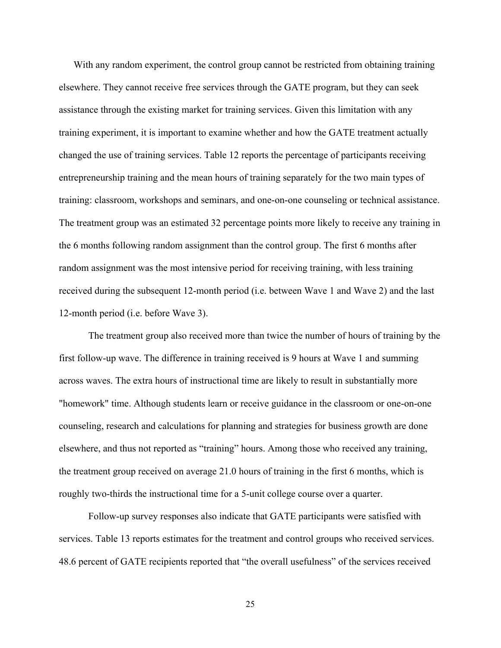With any random experiment, the control group cannot be restricted from obtaining training elsewhere. They cannot receive free services through the GATE program, but they can seek assistance through the existing market for training services. Given this limitation with any training experiment, it is important to examine whether and how the GATE treatment actually changed the use of training services. Table 12 reports the percentage of participants receiving entrepreneurship training and the mean hours of training separately for the two main types of training: classroom, workshops and seminars, and one-on-one counseling or technical assistance. The treatment group was an estimated 32 percentage points more likely to receive any training in the 6 months following random assignment than the control group. The first 6 months after random assignment was the most intensive period for receiving training, with less training received during the subsequent 12-month period (i.e. between Wave 1 and Wave 2) and the last 12-month period (i.e. before Wave 3).

 The treatment group also received more than twice the number of hours of training by the first follow-up wave. The difference in training received is 9 hours at Wave 1 and summing across waves. The extra hours of instructional time are likely to result in substantially more "homework" time. Although students learn or receive guidance in the classroom or one-on-one counseling, research and calculations for planning and strategies for business growth are done elsewhere, and thus not reported as "training" hours. Among those who received any training, the treatment group received on average 21.0 hours of training in the first 6 months, which is roughly two-thirds the instructional time for a 5-unit college course over a quarter.

 Follow-up survey responses also indicate that GATE participants were satisfied with services. Table 13 reports estimates for the treatment and control groups who received services. 48.6 percent of GATE recipients reported that "the overall usefulness" of the services received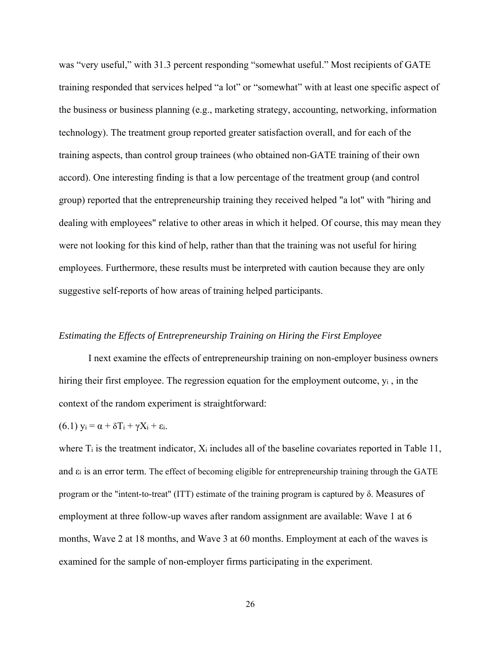was "very useful," with 31.3 percent responding "somewhat useful." Most recipients of GATE training responded that services helped "a lot" or "somewhat" with at least one specific aspect of the business or business planning (e.g., marketing strategy, accounting, networking, information technology). The treatment group reported greater satisfaction overall, and for each of the training aspects, than control group trainees (who obtained non-GATE training of their own accord). One interesting finding is that a low percentage of the treatment group (and control group) reported that the entrepreneurship training they received helped "a lot" with "hiring and dealing with employees" relative to other areas in which it helped. Of course, this may mean they were not looking for this kind of help, rather than that the training was not useful for hiring employees. Furthermore, these results must be interpreted with caution because they are only suggestive self-reports of how areas of training helped participants.

## *Estimating the Effects of Entrepreneurship Training on Hiring the First Employee*

 I next examine the effects of entrepreneurship training on non-employer business owners hiring their first employee. The regression equation for the employment outcome, yi , in the context of the random experiment is straightforward:

## (6.1)  $y_i = \alpha + \delta T_i + \gamma X_i + \varepsilon_i$ .

where  $T_i$  is the treatment indicator,  $X_i$  includes all of the baseline covariates reported in Table 11, and  $\varepsilon_i$  is an error term. The effect of becoming eligible for entrepreneurship training through the GATE program or the "intent-to-treat" (ITT) estimate of the training program is captured by δ. Measures of employment at three follow-up waves after random assignment are available: Wave 1 at 6 months, Wave 2 at 18 months, and Wave 3 at 60 months. Employment at each of the waves is examined for the sample of non-employer firms participating in the experiment.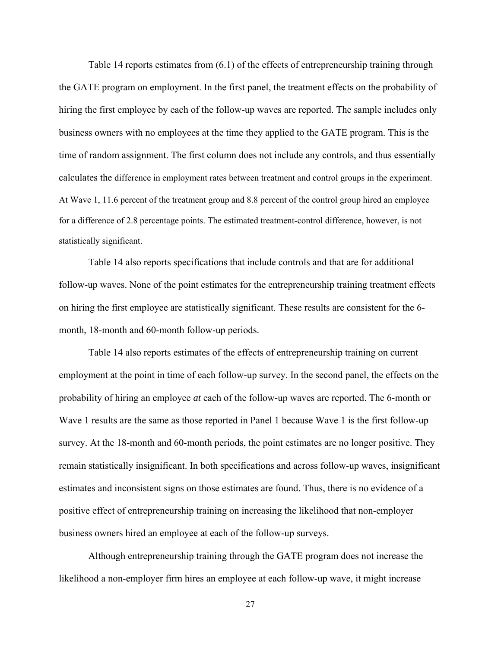Table 14 reports estimates from (6.1) of the effects of entrepreneurship training through the GATE program on employment. In the first panel, the treatment effects on the probability of hiring the first employee by each of the follow-up waves are reported. The sample includes only business owners with no employees at the time they applied to the GATE program. This is the time of random assignment. The first column does not include any controls, and thus essentially calculates the difference in employment rates between treatment and control groups in the experiment. At Wave 1, 11.6 percent of the treatment group and 8.8 percent of the control group hired an employee for a difference of 2.8 percentage points. The estimated treatment-control difference, however, is not statistically significant.

Table 14 also reports specifications that include controls and that are for additional follow-up waves. None of the point estimates for the entrepreneurship training treatment effects on hiring the first employee are statistically significant. These results are consistent for the 6 month, 18-month and 60-month follow-up periods.

 Table 14 also reports estimates of the effects of entrepreneurship training on current employment at the point in time of each follow-up survey. In the second panel, the effects on the probability of hiring an employee *at* each of the follow-up waves are reported. The 6-month or Wave 1 results are the same as those reported in Panel 1 because Wave 1 is the first follow-up survey. At the 18-month and 60-month periods, the point estimates are no longer positive. They remain statistically insignificant. In both specifications and across follow-up waves, insignificant estimates and inconsistent signs on those estimates are found. Thus, there is no evidence of a positive effect of entrepreneurship training on increasing the likelihood that non-employer business owners hired an employee at each of the follow-up surveys.

 Although entrepreneurship training through the GATE program does not increase the likelihood a non-employer firm hires an employee at each follow-up wave, it might increase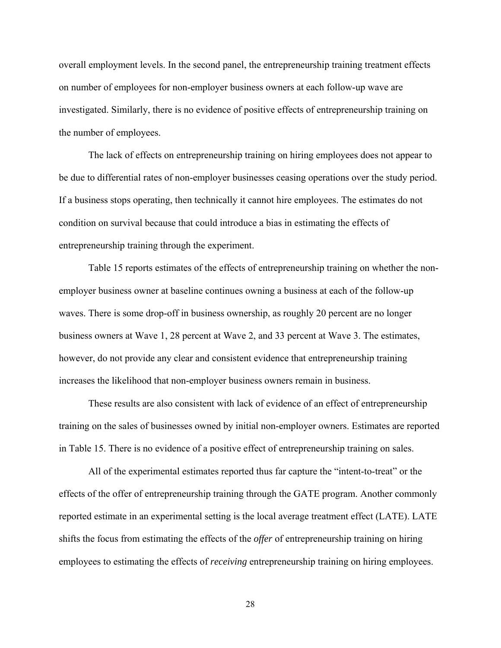overall employment levels. In the second panel, the entrepreneurship training treatment effects on number of employees for non-employer business owners at each follow-up wave are investigated. Similarly, there is no evidence of positive effects of entrepreneurship training on the number of employees.

 The lack of effects on entrepreneurship training on hiring employees does not appear to be due to differential rates of non-employer businesses ceasing operations over the study period. If a business stops operating, then technically it cannot hire employees. The estimates do not condition on survival because that could introduce a bias in estimating the effects of entrepreneurship training through the experiment.

 Table 15 reports estimates of the effects of entrepreneurship training on whether the nonemployer business owner at baseline continues owning a business at each of the follow-up waves. There is some drop-off in business ownership, as roughly 20 percent are no longer business owners at Wave 1, 28 percent at Wave 2, and 33 percent at Wave 3. The estimates, however, do not provide any clear and consistent evidence that entrepreneurship training increases the likelihood that non-employer business owners remain in business.

 These results are also consistent with lack of evidence of an effect of entrepreneurship training on the sales of businesses owned by initial non-employer owners. Estimates are reported in Table 15. There is no evidence of a positive effect of entrepreneurship training on sales.

 All of the experimental estimates reported thus far capture the "intent-to-treat" or the effects of the offer of entrepreneurship training through the GATE program. Another commonly reported estimate in an experimental setting is the local average treatment effect (LATE). LATE shifts the focus from estimating the effects of the *offer* of entrepreneurship training on hiring employees to estimating the effects of *receiving* entrepreneurship training on hiring employees.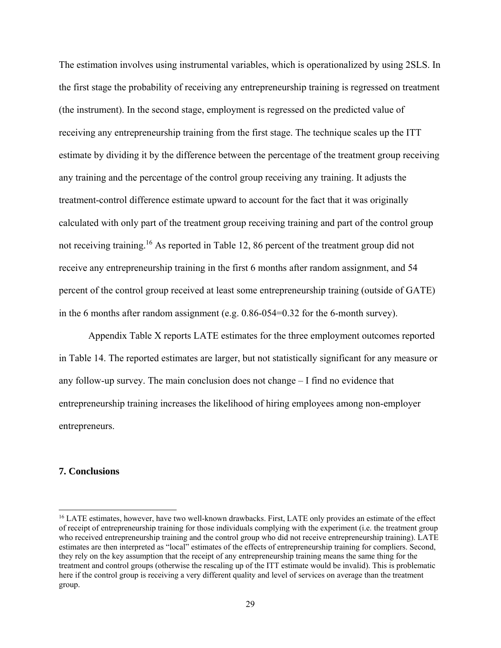The estimation involves using instrumental variables, which is operationalized by using 2SLS. In the first stage the probability of receiving any entrepreneurship training is regressed on treatment (the instrument). In the second stage, employment is regressed on the predicted value of receiving any entrepreneurship training from the first stage. The technique scales up the ITT estimate by dividing it by the difference between the percentage of the treatment group receiving any training and the percentage of the control group receiving any training. It adjusts the treatment-control difference estimate upward to account for the fact that it was originally calculated with only part of the treatment group receiving training and part of the control group not receiving training.<sup>16</sup> As reported in Table 12, 86 percent of the treatment group did not receive any entrepreneurship training in the first 6 months after random assignment, and 54 percent of the control group received at least some entrepreneurship training (outside of GATE) in the 6 months after random assignment (e.g. 0.86-054=0.32 for the 6-month survey).

 Appendix Table X reports LATE estimates for the three employment outcomes reported in Table 14. The reported estimates are larger, but not statistically significant for any measure or any follow-up survey. The main conclusion does not change – I find no evidence that entrepreneurship training increases the likelihood of hiring employees among non-employer entrepreneurs.

## **7. Conclusions**

 $\overline{\phantom{a}}$ 

<sup>&</sup>lt;sup>16</sup> LATE estimates, however, have two well-known drawbacks. First, LATE only provides an estimate of the effect of receipt of entrepreneurship training for those individuals complying with the experiment (i.e. the treatment group who received entrepreneurship training and the control group who did not receive entrepreneurship training). LATE estimates are then interpreted as "local" estimates of the effects of entrepreneurship training for compliers. Second, they rely on the key assumption that the receipt of any entrepreneurship training means the same thing for the treatment and control groups (otherwise the rescaling up of the ITT estimate would be invalid). This is problematic here if the control group is receiving a very different quality and level of services on average than the treatment group.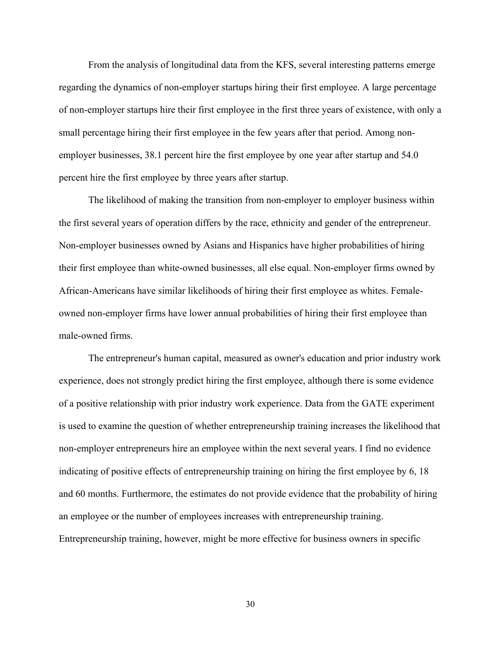From the analysis of longitudinal data from the KFS, several interesting patterns emerge regarding the dynamics of non-employer startups hiring their first employee. A large percentage of non-employer startups hire their first employee in the first three years of existence, with only a small percentage hiring their first employee in the few years after that period. Among nonemployer businesses, 38.1 percent hire the first employee by one year after startup and 54.0 percent hire the first employee by three years after startup.

 The likelihood of making the transition from non-employer to employer business within the first several years of operation differs by the race, ethnicity and gender of the entrepreneur. Non-employer businesses owned by Asians and Hispanics have higher probabilities of hiring their first employee than white-owned businesses, all else equal. Non-employer firms owned by African-Americans have similar likelihoods of hiring their first employee as whites. Femaleowned non-employer firms have lower annual probabilities of hiring their first employee than male-owned firms.

The entrepreneur's human capital, measured as owner's education and prior industry work experience, does not strongly predict hiring the first employee, although there is some evidence of a positive relationship with prior industry work experience. Data from the GATE experiment is used to examine the question of whether entrepreneurship training increases the likelihood that non-employer entrepreneurs hire an employee within the next several years. I find no evidence indicating of positive effects of entrepreneurship training on hiring the first employee by 6, 18 and 60 months. Furthermore, the estimates do not provide evidence that the probability of hiring an employee or the number of employees increases with entrepreneurship training. Entrepreneurship training, however, might be more effective for business owners in specific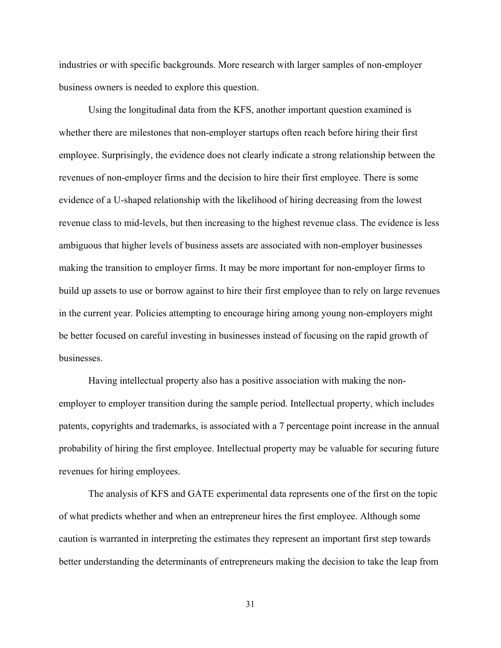industries or with specific backgrounds. More research with larger samples of non-employer business owners is needed to explore this question.

 Using the longitudinal data from the KFS, another important question examined is whether there are milestones that non-employer startups often reach before hiring their first employee. Surprisingly, the evidence does not clearly indicate a strong relationship between the revenues of non-employer firms and the decision to hire their first employee. There is some evidence of a U-shaped relationship with the likelihood of hiring decreasing from the lowest revenue class to mid-levels, but then increasing to the highest revenue class. The evidence is less ambiguous that higher levels of business assets are associated with non-employer businesses making the transition to employer firms. It may be more important for non-employer firms to build up assets to use or borrow against to hire their first employee than to rely on large revenues in the current year. Policies attempting to encourage hiring among young non-employers might be better focused on careful investing in businesses instead of focusing on the rapid growth of businesses.

 Having intellectual property also has a positive association with making the nonemployer to employer transition during the sample period. Intellectual property, which includes patents, copyrights and trademarks, is associated with a 7 percentage point increase in the annual probability of hiring the first employee. Intellectual property may be valuable for securing future revenues for hiring employees.

 The analysis of KFS and GATE experimental data represents one of the first on the topic of what predicts whether and when an entrepreneur hires the first employee. Although some caution is warranted in interpreting the estimates they represent an important first step towards better understanding the determinants of entrepreneurs making the decision to take the leap from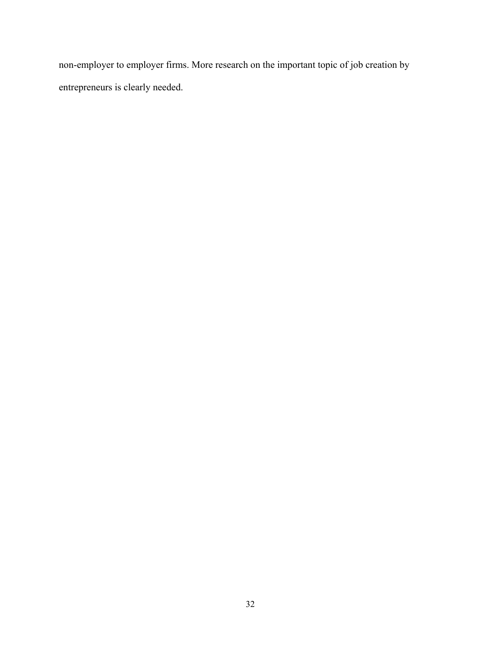non-employer to employer firms. More research on the important topic of job creation by entrepreneurs is clearly needed.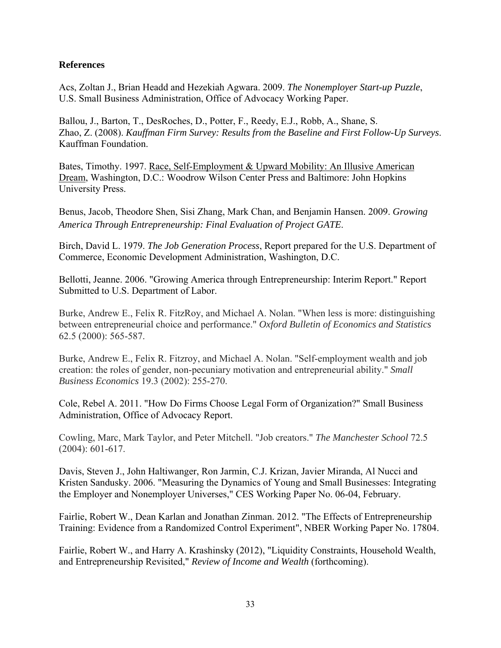## **References**

Acs, Zoltan J., Brian Headd and Hezekiah Agwara. 2009. *The Nonemployer Start-up Puzzle*, U.S. Small Business Administration, Office of Advocacy Working Paper.

Ballou, J., Barton, T., DesRoches, D., Potter, F., Reedy, E.J., Robb, A., Shane, S. Zhao, Z. (2008). *Kauffman Firm Survey: Results from the Baseline and First Follow-Up Surveys*. Kauffman Foundation.

Bates, Timothy. 1997. Race, Self-Employment & Upward Mobility: An Illusive American Dream, Washington, D.C.: Woodrow Wilson Center Press and Baltimore: John Hopkins University Press.

Benus, Jacob, Theodore Shen, Sisi Zhang, Mark Chan, and Benjamin Hansen. 2009. *Growing America Through Entrepreneurship: Final Evaluation of Project GATE*.

Birch, David L. 1979. *The Job Generation Process*, Report prepared for the U.S. Department of Commerce, Economic Development Administration, Washington, D.C.

Bellotti, Jeanne. 2006. "Growing America through Entrepreneurship: Interim Report." Report Submitted to U.S. Department of Labor.

Burke, Andrew E., Felix R. FitzRoy, and Michael A. Nolan. "When less is more: distinguishing between entrepreneurial choice and performance." *Oxford Bulletin of Economics and Statistics* 62.5 (2000): 565-587.

Burke, Andrew E., Felix R. Fitzroy, and Michael A. Nolan. "Self-employment wealth and job creation: the roles of gender, non-pecuniary motivation and entrepreneurial ability." *Small Business Economics* 19.3 (2002): 255-270.

Cole, Rebel A. 2011. "How Do Firms Choose Legal Form of Organization?" Small Business Administration, Office of Advocacy Report.

Cowling, Marc, Mark Taylor, and Peter Mitchell. "Job creators." *The Manchester School* 72.5 (2004): 601-617.

Davis, Steven J., John Haltiwanger, Ron Jarmin, C.J. Krizan, Javier Miranda, Al Nucci and Kristen Sandusky. 2006. "Measuring the Dynamics of Young and Small Businesses: Integrating the Employer and Nonemployer Universes," CES Working Paper No. 06-04, February.

Fairlie, Robert W., Dean Karlan and Jonathan Zinman. 2012. "The Effects of Entrepreneurship Training: Evidence from a Randomized Control Experiment", NBER Working Paper No. 17804.

Fairlie, Robert W., and Harry A. Krashinsky (2012), "Liquidity Constraints, Household Wealth, and Entrepreneurship Revisited," *Review of Income and Wealth* (forthcoming).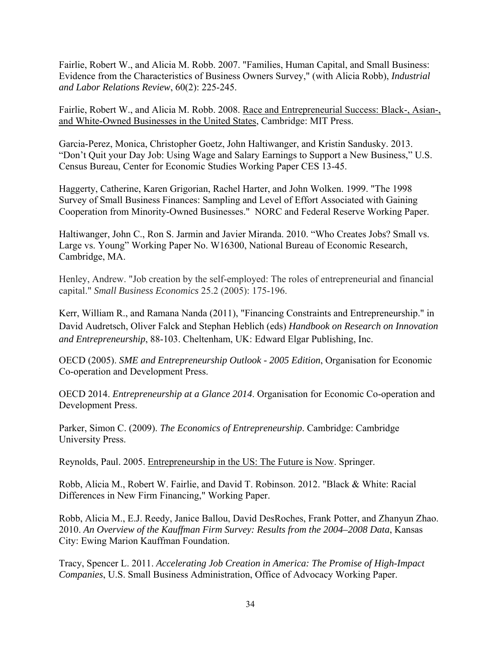Fairlie, Robert W., and Alicia M. Robb. 2007. "Families, Human Capital, and Small Business: Evidence from the Characteristics of Business Owners Survey," (with Alicia Robb), *Industrial and Labor Relations Review*, 60(2): 225-245.

Fairlie, Robert W., and Alicia M. Robb. 2008. Race and Entrepreneurial Success: Black-, Asian-, and White-Owned Businesses in the United States, Cambridge: MIT Press.

Garcia-Perez, Monica, Christopher Goetz, John Haltiwanger, and Kristin Sandusky. 2013. "Don't Quit your Day Job: Using Wage and Salary Earnings to Support a New Business," U.S. Census Bureau, Center for Economic Studies Working Paper CES 13-45.

Haggerty, Catherine, Karen Grigorian, Rachel Harter, and John Wolken. 1999. "The 1998 Survey of Small Business Finances: Sampling and Level of Effort Associated with Gaining Cooperation from Minority-Owned Businesses." NORC and Federal Reserve Working Paper.

Haltiwanger, John C., Ron S. Jarmin and Javier Miranda. 2010. "Who Creates Jobs? Small vs. Large vs. Young" Working Paper No. W16300, National Bureau of Economic Research, Cambridge, MA.

Henley, Andrew. "Job creation by the self-employed: The roles of entrepreneurial and financial capital." *Small Business Economics* 25.2 (2005): 175-196.

Kerr, William R., and Ramana Nanda (2011), "Financing Constraints and Entrepreneurship." in David Audretsch, Oliver Falck and Stephan Heblich (eds) *Handbook on Research on Innovation and Entrepreneurship*, 88-103. Cheltenham, UK: Edward Elgar Publishing, Inc.

OECD (2005). *SME and Entrepreneurship Outlook - 2005 Edition*, Organisation for Economic Co-operation and Development Press.

OECD 2014. *Entrepreneurship at a Glance 2014*. Organisation for Economic Co-operation and Development Press.

Parker, Simon C. (2009). *The Economics of Entrepreneurship*. Cambridge: Cambridge University Press.

Reynolds, Paul. 2005. Entrepreneurship in the US: The Future is Now. Springer.

Robb, Alicia M., Robert W. Fairlie, and David T. Robinson. 2012. "Black & White: Racial Differences in New Firm Financing," Working Paper.

Robb, Alicia M., E.J. Reedy, Janice Ballou, David DesRoches, Frank Potter, and Zhanyun Zhao. 2010. *An Overview of the Kauffman Firm Survey: Results from the 2004–2008 Data*, Kansas City: Ewing Marion Kauffman Foundation.

Tracy, Spencer L. 2011. *Accelerating Job Creation in America: The Promise of High-Impact Companies*, U.S. Small Business Administration, Office of Advocacy Working Paper.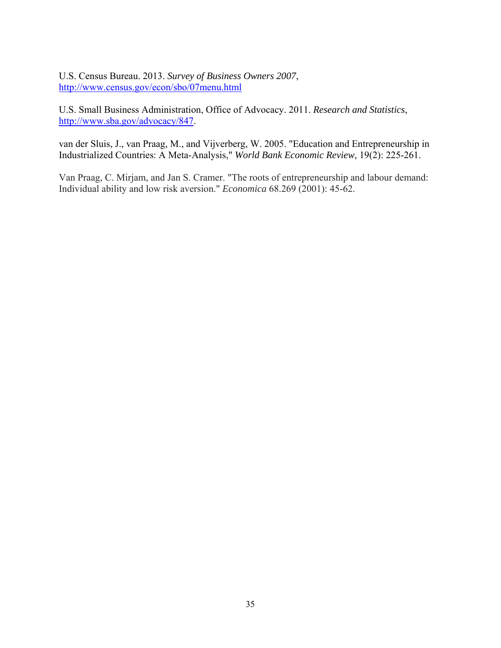U.S. Census Bureau. 2013. *Survey of Business Owners 2007*, http://www.census.gov/econ/sbo/07menu.html

U.S. Small Business Administration, Office of Advocacy. 2011. *Research and Statistics*, http://www.sba.gov/advocacy/847.

van der Sluis, J., van Praag, M., and Vijverberg, W. 2005. "Education and Entrepreneurship in Industrialized Countries: A Meta-Analysis," *World Bank Economic Review*, 19(2): 225-261.

Van Praag, C. Mirjam, and Jan S. Cramer. "The roots of entrepreneurship and labour demand: Individual ability and low risk aversion." *Economica* 68.269 (2001): 45-62.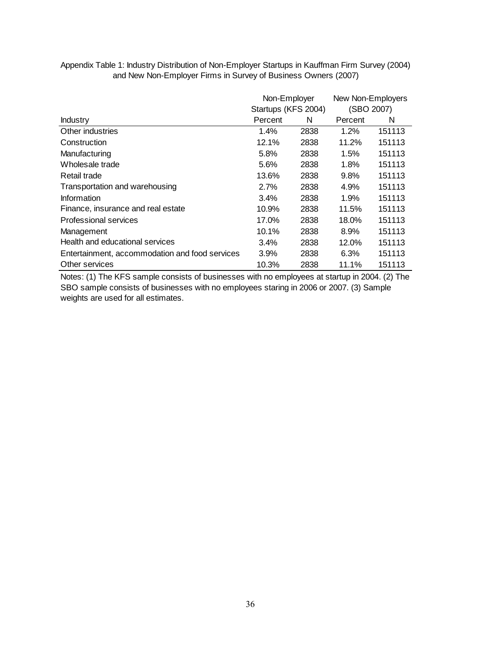|                                                | Non-Employer        |      | New Non-Employers |        |  |
|------------------------------------------------|---------------------|------|-------------------|--------|--|
|                                                | Startups (KFS 2004) |      | (SBO 2007)        |        |  |
| <b>Industry</b>                                | Percent             | N    | Percent           | N      |  |
| Other industries                               | $1.4\%$             | 2838 | 1.2%              | 151113 |  |
| Construction                                   | 12.1%               | 2838 | 11.2%             | 151113 |  |
| Manufacturing                                  | 5.8%                | 2838 | 1.5%              | 151113 |  |
| Wholesale trade                                | 5.6%                | 2838 | 1.8%              | 151113 |  |
| Retail trade                                   | 13.6%               | 2838 | 9.8%              | 151113 |  |
| Transportation and warehousing                 | 2.7%                | 2838 | 4.9%              | 151113 |  |
| Information                                    | 3.4%                | 2838 | 1.9%              | 151113 |  |
| Finance, insurance and real estate             | 10.9%               | 2838 | 11.5%             | 151113 |  |
| Professional services                          | 17.0%               | 2838 | 18.0%             | 151113 |  |
| Management                                     | 10.1%               | 2838 | 8.9%              | 151113 |  |
| Health and educational services                | 3.4%                | 2838 | 12.0%             | 151113 |  |
| Entertainment, accommodation and food services | 3.9%                | 2838 | 6.3%              | 151113 |  |
| Other services                                 | 10.3%               | 2838 | 11.1%             | 151113 |  |

Appendix Table 1: Industry Distribution of Non-Employer Startups in Kauffman Firm Survey (2004) and New Non-Employer Firms in Survey of Business Owners (2007)

Notes: (1) The KFS sample consists of businesses with no employees at startup in 2004. (2) The SBO sample consists of businesses with no employees staring in 2006 or 2007. (3) Sample weights are used for all estimates.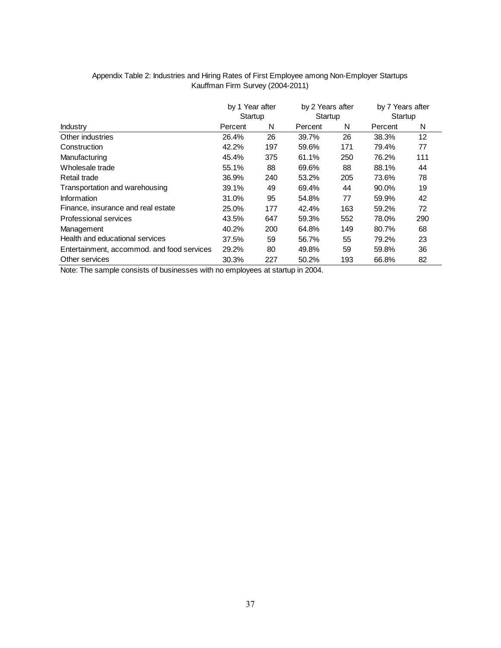|                                            | by 1 Year after |     | by 2 Years after |     | by 7 Years after |     |  |
|--------------------------------------------|-----------------|-----|------------------|-----|------------------|-----|--|
|                                            | Startup         |     | Startup          |     | Startup          |     |  |
| <b>Industry</b>                            | Percent         | N   | Percent          | N   | Percent          | N   |  |
| Other industries                           | 26.4%           | 26  | 39.7%            | 26  | 38.3%            | 12  |  |
| Construction                               | 42.2%           | 197 | 59.6%            | 171 | 79.4%            | 77  |  |
| Manufacturing                              | 45.4%           | 375 | 61.1%            | 250 | 76.2%            | 111 |  |
| Wholesale trade                            | 55.1%           | 88  | 69.6%            | 88  | 88.1%            | 44  |  |
| Retail trade                               | 36.9%           | 240 | 53.2%            | 205 | 73.6%            | 78  |  |
| Transportation and warehousing             | 39.1%           | 49  | 69.4%            | 44  | 90.0%            | 19  |  |
| Information                                | 31.0%           | 95  | 54.8%            | 77  | 59.9%            | 42  |  |
| Finance, insurance and real estate         | 25.0%           | 177 | 42.4%            | 163 | 59.2%            | 72  |  |
| Professional services                      | 43.5%           | 647 | 59.3%            | 552 | 78.0%            | 290 |  |
| Management                                 | 40.2%           | 200 | 64.8%            | 149 | 80.7%            | 68  |  |
| Health and educational services            | 37.5%           | 59  | 56.7%            | 55  | 79.2%            | 23  |  |
| Entertainment, accommod. and food services | 29.2%           | 80  | 49.8%            | 59  | 59.8%            | 36  |  |
| Other services                             | 30.3%           | 227 | 50.2%            | 193 | 66.8%            | 82  |  |

## Appendix Table 2: Industries and Hiring Rates of First Employee among Non-Employer Startups Kauffman Firm Survey (2004-2011)

Note: The sample consists of businesses with no employees at startup in 2004.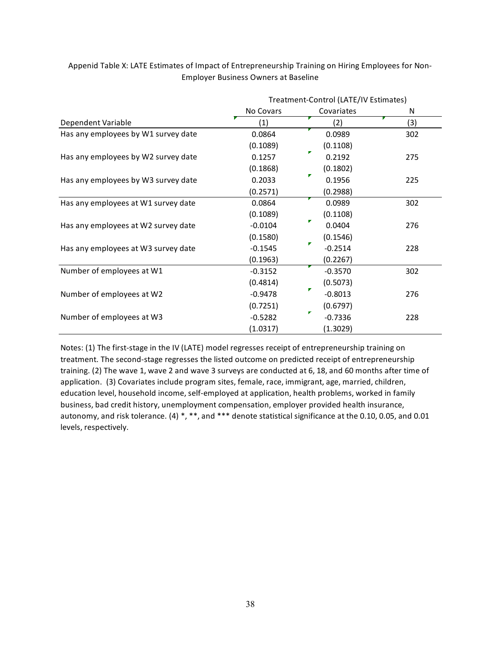|                                     | Treatment-Control (LATE/IV Estimates) |                |     |  |  |  |
|-------------------------------------|---------------------------------------|----------------|-----|--|--|--|
|                                     | No Covars                             | Covariates     | N   |  |  |  |
| Dependent Variable                  | (1)                                   | (2)            | (3) |  |  |  |
| Has any employees by W1 survey date | 0.0864                                | 0.0989         | 302 |  |  |  |
|                                     | (0.1089)                              | (0.1108)       |     |  |  |  |
| Has any employees by W2 survey date | 0.1257                                | 0.2192         | 275 |  |  |  |
|                                     | (0.1868)                              | (0.1802)       |     |  |  |  |
| Has any employees by W3 survey date | 0.2033                                | ۳<br>0.1956    | 225 |  |  |  |
|                                     | (0.2571)                              | (0.2988)       |     |  |  |  |
| Has any employees at W1 survey date | 0.0864                                | 0.0989         | 302 |  |  |  |
|                                     | (0.1089)                              | (0.1108)       |     |  |  |  |
| Has any employees at W2 survey date | $-0.0104$                             | ₹<br>0.0404    | 276 |  |  |  |
|                                     | (0.1580)                              | (0.1546)       |     |  |  |  |
| Has any employees at W3 survey date | $-0.1545$                             | $-0.2514$      | 228 |  |  |  |
|                                     | (0.1963)                              | (0.2267)       |     |  |  |  |
| Number of employees at W1           | $-0.3152$                             | $-0.3570$      | 302 |  |  |  |
|                                     | (0.4814)                              | (0.5073)       |     |  |  |  |
| Number of employees at W2           | $-0.9478$                             | $-0.8013$      | 276 |  |  |  |
|                                     | (0.7251)                              | (0.6797)       |     |  |  |  |
| Number of employees at W3           | $-0.5282$                             | F<br>$-0.7336$ | 228 |  |  |  |
|                                     | (1.0317)                              | (1.3029)       |     |  |  |  |

Appenid Table X: LATE Estimates of Impact of Entrepreneurship Training on Hiring Employees for Non‐ Employer Business Owners at Baseline

Notes: (1) The first-stage in the IV (LATE) model regresses receipt of entrepreneurship training on treatment. The second‐stage regresses the listed outcome on predicted receipt of entrepreneurship training. (2) The wave 1, wave 2 and wave 3 surveys are conducted at 6, 18, and 60 months after time of application. (3) Covariates include program sites, female, race, immigrant, age, married, children, education level, household income, self‐employed at application, health problems, worked in family business, bad credit history, unemployment compensation, employer provided health insurance, autonomy, and risk tolerance. (4) \*, \*\*, and \*\*\* denote statistical significance at the 0.10, 0.05, and 0.01 levels, respectively.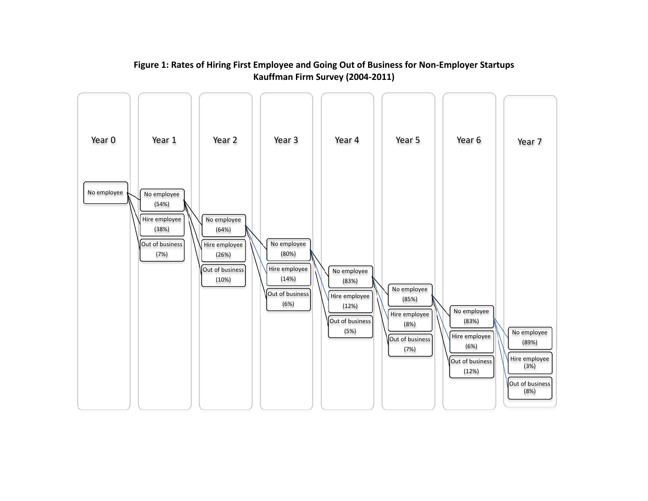

# **Figure 1: Rates of Hiring First Employee and Going Out of Business for Non‐Employer Startups Kauffman Firm Survey (2004‐2011)**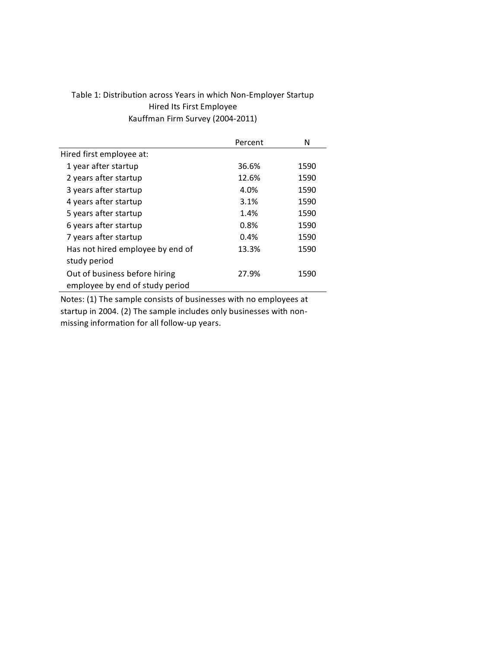## Table 1: Distribution across Years in which Non‐Employer Startup Hired Its First Employee Kauffman Firm Survey (2004‐2011)

|                                  | Percent | N    |
|----------------------------------|---------|------|
| Hired first employee at:         |         |      |
| 1 year after startup             | 36.6%   | 1590 |
| 2 years after startup            | 12.6%   | 1590 |
| 3 years after startup            | 4.0%    | 1590 |
| 4 years after startup            | 3.1%    | 1590 |
| 5 years after startup            | 1.4%    | 1590 |
| 6 years after startup            | 0.8%    | 1590 |
| 7 years after startup            | $0.4\%$ | 1590 |
| Has not hired employee by end of | 13.3%   | 1590 |
| study period                     |         |      |
| Out of business before hiring    | 27.9%   | 1590 |
| employee by end of study period  |         |      |

Notes: (1) The sample consists of businesses with no employees at startup in 2004. (2) The sample includes only businesses with non‐ missing information for all follow‐up years.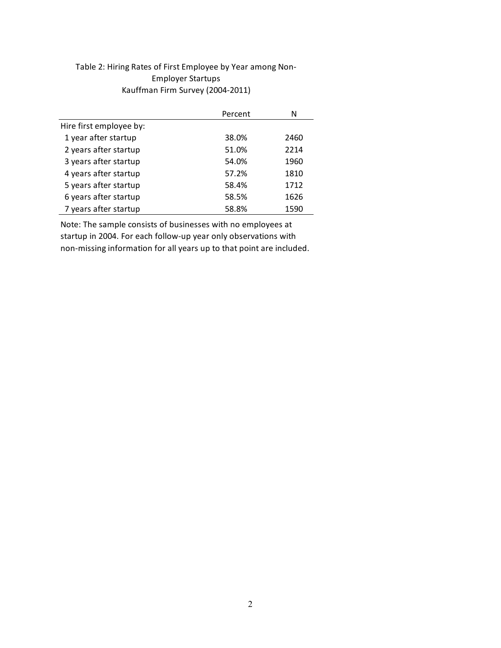## Table 2: Hiring Rates of First Employee by Year among Non‐ Employer Startups Kauffman Firm Survey (2004‐2011)

|                         | Percent | N    |
|-------------------------|---------|------|
| Hire first employee by: |         |      |
| 1 year after startup    | 38.0%   | 2460 |
| 2 years after startup   | 51.0%   | 2214 |
| 3 years after startup   | 54.0%   | 1960 |
| 4 years after startup   | 57.2%   | 1810 |
| 5 years after startup   | 58.4%   | 1712 |
| 6 years after startup   | 58.5%   | 1626 |
| 7 years after startup   | 58.8%   | 1590 |

Note: The sample consists of businesses with no employees at startup in 2004. For each follow‐up year only observations with non‐missing information for all years up to that point are included.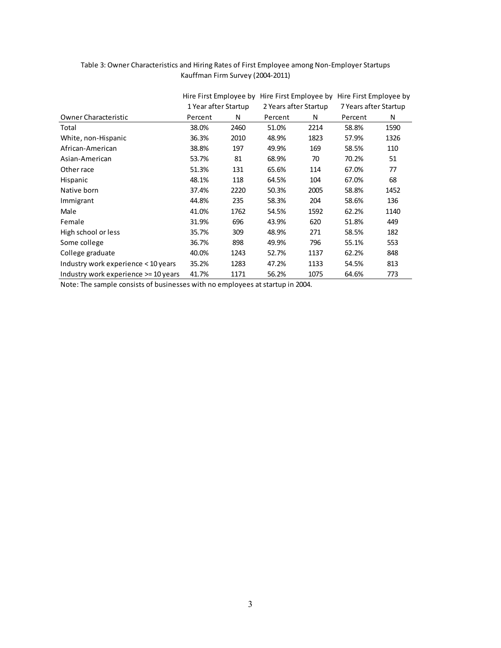|                                          | Hire First Employee by |      | Hire First Employee by |      | Hire First Employee by |      |
|------------------------------------------|------------------------|------|------------------------|------|------------------------|------|
|                                          | 1 Year after Startup   |      | 2 Years after Startup  |      | 7 Years after Startup  |      |
| Owner Characteristic                     | Percent                | N    | Percent                | N    | Percent                | N    |
| Total                                    | 38.0%                  | 2460 | 51.0%                  | 2214 | 58.8%                  | 1590 |
| White, non-Hispanic                      | 36.3%                  | 2010 | 48.9%                  | 1823 | 57.9%                  | 1326 |
| African-American                         | 38.8%                  | 197  | 49.9%                  | 169  | 58.5%                  | 110  |
| Asian-American                           | 53.7%                  | 81   | 68.9%                  | 70   | 70.2%                  | 51   |
| Other race                               | 51.3%                  | 131  | 65.6%                  | 114  | 67.0%                  | 77   |
| Hispanic                                 | 48.1%                  | 118  | 64.5%                  | 104  | 67.0%                  | 68   |
| Native born                              | 37.4%                  | 2220 | 50.3%                  | 2005 | 58.8%                  | 1452 |
| Immigrant                                | 44.8%                  | 235  | 58.3%                  | 204  | 58.6%                  | 136  |
| Male                                     | 41.0%                  | 1762 | 54.5%                  | 1592 | 62.2%                  | 1140 |
| Female                                   | 31.9%                  | 696  | 43.9%                  | 620  | 51.8%                  | 449  |
| High school or less                      | 35.7%                  | 309  | 48.9%                  | 271  | 58.5%                  | 182  |
| Some college                             | 36.7%                  | 898  | 49.9%                  | 796  | 55.1%                  | 553  |
| College graduate                         | 40.0%                  | 1243 | 52.7%                  | 1137 | 62.2%                  | 848  |
| Industry work experience < 10 years      | 35.2%                  | 1283 | 47.2%                  | 1133 | 54.5%                  | 813  |
| Industry work experience $\geq$ 10 years | 41.7%                  | 1171 | 56.2%                  | 1075 | 64.6%                  | 773  |

## Table 3: Owner Characteristics and Hiring Rates of First Employee among Non‐Employer Startups Kauffman Firm Survey (2004‐2011)

Note: The sample consists of businesses with no employees at startup in 2004.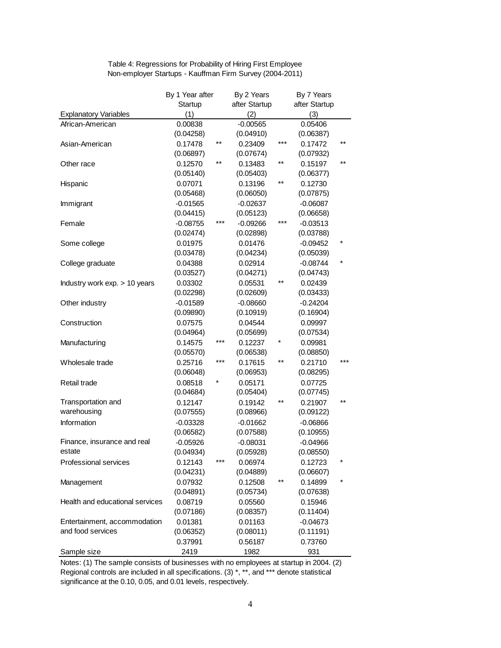|                                 | By 1 Year after |         | By 2 Years    |                 | By 7 Years    |       |
|---------------------------------|-----------------|---------|---------------|-----------------|---------------|-------|
|                                 | Startup         |         | after Startup |                 | after Startup |       |
| <b>Explanatory Variables</b>    | (1)             |         | (2)           |                 | (3)           |       |
| African-American                | 0.00838         |         | $-0.00565$    |                 | 0.05406       |       |
|                                 | (0.04258)       |         | (0.04910)     |                 | (0.06387)     |       |
| Asian-American                  | 0.17478         | **      | 0.23409       | ***             | 0.17472       | **    |
|                                 | (0.06897)       |         | (0.07674)     |                 | (0.07932)     |       |
| Other race                      | 0.12570         | **      | 0.13483       | $***$           | 0.15197       | $***$ |
|                                 | (0.05140)       |         | (0.05403)     |                 | (0.06377)     |       |
| Hispanic                        | 0.07071         |         | 0.13196       | $***$           | 0.12730       |       |
|                                 | (0.05468)       |         | (0.06050)     |                 | (0.07875)     |       |
| Immigrant                       | $-0.01565$      |         | $-0.02637$    |                 | $-0.06087$    |       |
|                                 | (0.04415)       |         | (0.05123)     |                 | (0.06658)     |       |
| Female                          | $-0.08755$      | ***     | $-0.09266$    | $***$           | $-0.03513$    |       |
|                                 | (0.02474)       |         | (0.02898)     |                 | (0.03788)     |       |
| Some college                    | 0.01975         |         | 0.01476       |                 | $-0.09452$    | *     |
|                                 | (0.03478)       |         | (0.04234)     |                 | (0.05039)     |       |
| College graduate                | 0.04388         |         | 0.02914       |                 | $-0.08744$    | *     |
|                                 | (0.03527)       |         | (0.04271)     |                 | (0.04743)     |       |
| Industry work exp. > 10 years   | 0.03302         |         | 0.05531       | $***$           | 0.02439       |       |
|                                 | (0.02298)       |         | (0.02609)     |                 | (0.03433)     |       |
| Other industry                  | $-0.01589$      |         | $-0.08660$    |                 | $-0.24204$    |       |
|                                 | (0.09890)       |         | (0.10919)     |                 | (0.16904)     |       |
| Construction                    | 0.07575         |         | 0.04544       |                 | 0.09997       |       |
|                                 | (0.04964)       |         | (0.05699)     |                 | (0.07534)     |       |
|                                 | 0.14575         | ***     | 0.12237       | $\star$         | 0.09981       |       |
| Manufacturing                   | (0.05570)       |         | (0.06538)     |                 | (0.08850)     |       |
| Wholesale trade                 |                 | ***     | 0.17615       | $***$           |               | ***   |
|                                 | 0.25716         |         | (0.06953)     |                 | 0.21710       |       |
|                                 | (0.06048)       | $\star$ |               |                 | (0.08295)     |       |
| Retail trade                    | 0.08518         |         | 0.05171       |                 | 0.07725       |       |
|                                 | (0.04684)       |         | (0.05404)     | $^{\star\star}$ | (0.07745)     | $***$ |
| Transportation and              | 0.12147         |         | 0.19142       |                 | 0.21907       |       |
| warehousing                     | (0.07555)       |         | (0.08966)     |                 | (0.09122)     |       |
| Information                     | $-0.03328$      |         | $-0.01662$    |                 | $-0.06866$    |       |
|                                 | (0.06582)       |         | (0.07588)     |                 | (0.10955)     |       |
| Finance, insurance and real     | $-0.05926$      |         | $-0.08031$    |                 | $-0.04966$    |       |
| estate                          | (0.04934)       |         | (0.05928)     |                 | (0.08550)     |       |
| <b>Professional services</b>    | 0.12143         | ***     | 0.06974       |                 | 0.12723       | *     |
|                                 | (0.04231)       |         | (0.04889)     |                 | (0.06607)     |       |
| Management                      | 0.07932         |         | 0.12508       | $***$           | 0.14899       | *     |
|                                 | (0.04891)       |         | (0.05734)     |                 | (0.07638)     |       |
| Health and educational services | 0.08719         |         | 0.05560       |                 | 0.15946       |       |
|                                 | (0.07186)       |         | (0.08357)     |                 | (0.11404)     |       |
| Entertainment, accommodation    | 0.01381         |         | 0.01163       |                 | $-0.04673$    |       |
| and food services               | (0.06352)       |         | (0.08011)     |                 | (0.11191)     |       |
|                                 | 0.37991         |         | 0.56187       |                 | 0.73760       |       |
| Sample size                     | 2419            |         | 1982          |                 | 931           |       |

Table 4: Regressions for Probability of Hiring First Employee Non-employer Startups - Kauffman Firm Survey (2004-2011)

Notes: (1) The sample consists of businesses with no employees at startup in 2004. (2) Regional controls are included in all specifications. (3) \*, \*\*, and \*\*\* denote statistical significance at the 0.10, 0.05, and 0.01 levels, respectively.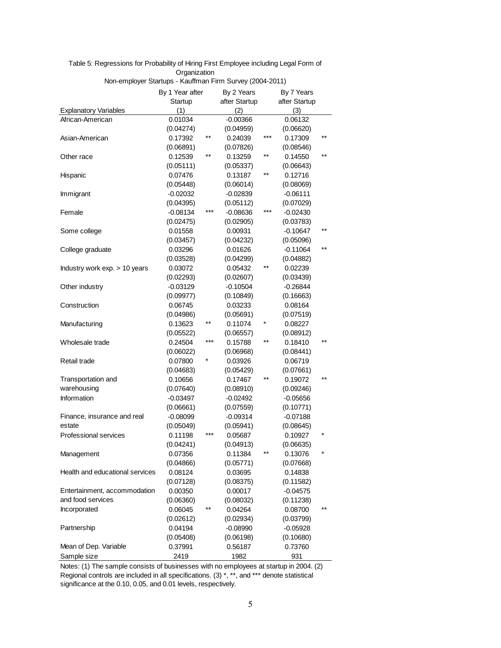### Table 5: Regressions for Probability of Hiring First Employee including Legal Form of **Organization**

| after Startup<br>after Startup<br>Startup<br>(1)<br>(2)<br>(3)<br><b>Explanatory Variables</b><br>0.01034<br>$-0.00366$<br>0.06132<br>African-American<br>(0.04274)<br>(0.04959)<br>(0.06620)<br>0.17392<br>$***$<br>***<br>0.17309<br>**<br>0.24039<br>Asian-American<br>(0.06891)<br>(0.07826)<br>(0.08546)<br>$***$<br>$***$<br>$***$<br>0.12539<br>0.13259<br>0.14550<br>Other race<br>(0.05111)<br>(0.05337)<br>(0.06643)<br>$***$<br>0.07476<br>0.13187<br>0.12716<br>Hispanic<br>(0.05448)<br>(0.06014)<br>(0.08069)<br>$-0.02032$<br>$-0.02839$<br>$-0.06111$<br>Immigrant<br>(0.04395)<br>(0.05112)<br>(0.07029)<br>$***$<br>***<br>$-0.08134$<br>$-0.08636$<br>$-0.02430$<br>Female<br>(0.02475)<br>(0.02905)<br>(0.03783)<br>$-0.10647$<br>**<br>0.01558<br>0.00931<br>Some college<br>(0.03457)<br>(0.04232)<br>(0.05096)<br>$***$<br>0.03296<br>0.01626<br>$-0.11064$<br>College graduate<br>(0.04299)<br>(0.03528)<br>(0.04882)<br>0.03072<br>0.05432<br>$***$<br>0.02239<br>Industry work exp. > 10 years<br>(0.02293)<br>(0.02607)<br>(0.03439)<br>$-0.03129$<br>$-0.10504$<br>$-0.26844$<br>Other industry<br>(0.09977)<br>(0.10849)<br>(0.16663)<br>0.06745<br>0.03233<br>0.08164<br>Construction<br>(0.05691)<br>(0.07519)<br>(0.04986)<br>$***$<br>0.13623<br>0.11074<br>*<br>0.08227<br>Manufacturing<br>(0.05522)<br>(0.06557)<br>(0.08912)<br>***<br>$***$<br>$***$<br>Wholesale trade<br>0.24504<br>0.15788<br>0.18410<br>(0.06022)<br>(0.06968)<br>(0.08441)<br>$^{\star}$<br>Retail trade<br>0.07800<br>0.03926<br>0.06719<br>(0.04683)<br>(0.05429)<br>(0.07661)<br>Transportation and<br>**<br>$***$<br>0.10656<br>0.17467<br>0.19072<br>warehousing<br>(0.07640)<br>(0.08910)<br>(0.09246)<br>Information<br>$-0.03497$<br>$-0.02492$<br>$-0.05656$<br>(0.06661)<br>(0.07559)<br>(0.10771)<br>Finance, insurance and real<br>$-0.09314$<br>$-0.08099$<br>$-0.07188$<br>estate<br>(0.05049)<br>(0.05941)<br>(0.08645)<br>0.11198<br>***<br>Professional services<br>0.05687<br>0.10927<br>(0.04241)<br>(0.04913)<br>(0.06635)<br>0.07356<br>0.11384<br>$^{\star\star}$<br>0.13076<br>*<br>Management<br>(0.04866)<br>(0.05771)<br>(0.07668)<br>Health and educational services<br>0.08124<br>0.03695<br>0.14838<br>(0.07128)<br>(0.08375)<br>(0.11582)<br>Entertainment, accommodation<br>0.00350<br>0.00017<br>-0.04575<br>and food services<br>(0.06360)<br>(0.08032)<br>(0.11238)<br>Incorporated<br>0.06045<br>**<br>0.04264<br>**<br>0.08700<br>(0.02612)<br>(0.03799)<br>(0.02934)<br>Partnership<br>0.04194<br>$-0.08990$<br>$-0.05928$<br>(0.05408)<br>(0.06198)<br>(0.10680)<br>Mean of Dep. Variable<br>0.37991<br>0.56187<br>0.73760 |             | By 1 Year after | By 2 Years | By 7 Years |  |
|-----------------------------------------------------------------------------------------------------------------------------------------------------------------------------------------------------------------------------------------------------------------------------------------------------------------------------------------------------------------------------------------------------------------------------------------------------------------------------------------------------------------------------------------------------------------------------------------------------------------------------------------------------------------------------------------------------------------------------------------------------------------------------------------------------------------------------------------------------------------------------------------------------------------------------------------------------------------------------------------------------------------------------------------------------------------------------------------------------------------------------------------------------------------------------------------------------------------------------------------------------------------------------------------------------------------------------------------------------------------------------------------------------------------------------------------------------------------------------------------------------------------------------------------------------------------------------------------------------------------------------------------------------------------------------------------------------------------------------------------------------------------------------------------------------------------------------------------------------------------------------------------------------------------------------------------------------------------------------------------------------------------------------------------------------------------------------------------------------------------------------------------------------------------------------------------------------------------------------------------------------------------------------------------------------------------------------------------------------------------------------------------------------------------------------------------------------------------------------------------------------------------------------------------------------------------------------------------------------------------------------------------------------------------------------|-------------|-----------------|------------|------------|--|
|                                                                                                                                                                                                                                                                                                                                                                                                                                                                                                                                                                                                                                                                                                                                                                                                                                                                                                                                                                                                                                                                                                                                                                                                                                                                                                                                                                                                                                                                                                                                                                                                                                                                                                                                                                                                                                                                                                                                                                                                                                                                                                                                                                                                                                                                                                                                                                                                                                                                                                                                                                                                                                                                             |             |                 |            |            |  |
|                                                                                                                                                                                                                                                                                                                                                                                                                                                                                                                                                                                                                                                                                                                                                                                                                                                                                                                                                                                                                                                                                                                                                                                                                                                                                                                                                                                                                                                                                                                                                                                                                                                                                                                                                                                                                                                                                                                                                                                                                                                                                                                                                                                                                                                                                                                                                                                                                                                                                                                                                                                                                                                                             |             |                 |            |            |  |
|                                                                                                                                                                                                                                                                                                                                                                                                                                                                                                                                                                                                                                                                                                                                                                                                                                                                                                                                                                                                                                                                                                                                                                                                                                                                                                                                                                                                                                                                                                                                                                                                                                                                                                                                                                                                                                                                                                                                                                                                                                                                                                                                                                                                                                                                                                                                                                                                                                                                                                                                                                                                                                                                             |             |                 |            |            |  |
|                                                                                                                                                                                                                                                                                                                                                                                                                                                                                                                                                                                                                                                                                                                                                                                                                                                                                                                                                                                                                                                                                                                                                                                                                                                                                                                                                                                                                                                                                                                                                                                                                                                                                                                                                                                                                                                                                                                                                                                                                                                                                                                                                                                                                                                                                                                                                                                                                                                                                                                                                                                                                                                                             |             |                 |            |            |  |
|                                                                                                                                                                                                                                                                                                                                                                                                                                                                                                                                                                                                                                                                                                                                                                                                                                                                                                                                                                                                                                                                                                                                                                                                                                                                                                                                                                                                                                                                                                                                                                                                                                                                                                                                                                                                                                                                                                                                                                                                                                                                                                                                                                                                                                                                                                                                                                                                                                                                                                                                                                                                                                                                             |             |                 |            |            |  |
|                                                                                                                                                                                                                                                                                                                                                                                                                                                                                                                                                                                                                                                                                                                                                                                                                                                                                                                                                                                                                                                                                                                                                                                                                                                                                                                                                                                                                                                                                                                                                                                                                                                                                                                                                                                                                                                                                                                                                                                                                                                                                                                                                                                                                                                                                                                                                                                                                                                                                                                                                                                                                                                                             |             |                 |            |            |  |
|                                                                                                                                                                                                                                                                                                                                                                                                                                                                                                                                                                                                                                                                                                                                                                                                                                                                                                                                                                                                                                                                                                                                                                                                                                                                                                                                                                                                                                                                                                                                                                                                                                                                                                                                                                                                                                                                                                                                                                                                                                                                                                                                                                                                                                                                                                                                                                                                                                                                                                                                                                                                                                                                             |             |                 |            |            |  |
|                                                                                                                                                                                                                                                                                                                                                                                                                                                                                                                                                                                                                                                                                                                                                                                                                                                                                                                                                                                                                                                                                                                                                                                                                                                                                                                                                                                                                                                                                                                                                                                                                                                                                                                                                                                                                                                                                                                                                                                                                                                                                                                                                                                                                                                                                                                                                                                                                                                                                                                                                                                                                                                                             |             |                 |            |            |  |
|                                                                                                                                                                                                                                                                                                                                                                                                                                                                                                                                                                                                                                                                                                                                                                                                                                                                                                                                                                                                                                                                                                                                                                                                                                                                                                                                                                                                                                                                                                                                                                                                                                                                                                                                                                                                                                                                                                                                                                                                                                                                                                                                                                                                                                                                                                                                                                                                                                                                                                                                                                                                                                                                             |             |                 |            |            |  |
|                                                                                                                                                                                                                                                                                                                                                                                                                                                                                                                                                                                                                                                                                                                                                                                                                                                                                                                                                                                                                                                                                                                                                                                                                                                                                                                                                                                                                                                                                                                                                                                                                                                                                                                                                                                                                                                                                                                                                                                                                                                                                                                                                                                                                                                                                                                                                                                                                                                                                                                                                                                                                                                                             |             |                 |            |            |  |
|                                                                                                                                                                                                                                                                                                                                                                                                                                                                                                                                                                                                                                                                                                                                                                                                                                                                                                                                                                                                                                                                                                                                                                                                                                                                                                                                                                                                                                                                                                                                                                                                                                                                                                                                                                                                                                                                                                                                                                                                                                                                                                                                                                                                                                                                                                                                                                                                                                                                                                                                                                                                                                                                             |             |                 |            |            |  |
|                                                                                                                                                                                                                                                                                                                                                                                                                                                                                                                                                                                                                                                                                                                                                                                                                                                                                                                                                                                                                                                                                                                                                                                                                                                                                                                                                                                                                                                                                                                                                                                                                                                                                                                                                                                                                                                                                                                                                                                                                                                                                                                                                                                                                                                                                                                                                                                                                                                                                                                                                                                                                                                                             |             |                 |            |            |  |
|                                                                                                                                                                                                                                                                                                                                                                                                                                                                                                                                                                                                                                                                                                                                                                                                                                                                                                                                                                                                                                                                                                                                                                                                                                                                                                                                                                                                                                                                                                                                                                                                                                                                                                                                                                                                                                                                                                                                                                                                                                                                                                                                                                                                                                                                                                                                                                                                                                                                                                                                                                                                                                                                             |             |                 |            |            |  |
|                                                                                                                                                                                                                                                                                                                                                                                                                                                                                                                                                                                                                                                                                                                                                                                                                                                                                                                                                                                                                                                                                                                                                                                                                                                                                                                                                                                                                                                                                                                                                                                                                                                                                                                                                                                                                                                                                                                                                                                                                                                                                                                                                                                                                                                                                                                                                                                                                                                                                                                                                                                                                                                                             |             |                 |            |            |  |
|                                                                                                                                                                                                                                                                                                                                                                                                                                                                                                                                                                                                                                                                                                                                                                                                                                                                                                                                                                                                                                                                                                                                                                                                                                                                                                                                                                                                                                                                                                                                                                                                                                                                                                                                                                                                                                                                                                                                                                                                                                                                                                                                                                                                                                                                                                                                                                                                                                                                                                                                                                                                                                                                             |             |                 |            |            |  |
|                                                                                                                                                                                                                                                                                                                                                                                                                                                                                                                                                                                                                                                                                                                                                                                                                                                                                                                                                                                                                                                                                                                                                                                                                                                                                                                                                                                                                                                                                                                                                                                                                                                                                                                                                                                                                                                                                                                                                                                                                                                                                                                                                                                                                                                                                                                                                                                                                                                                                                                                                                                                                                                                             |             |                 |            |            |  |
|                                                                                                                                                                                                                                                                                                                                                                                                                                                                                                                                                                                                                                                                                                                                                                                                                                                                                                                                                                                                                                                                                                                                                                                                                                                                                                                                                                                                                                                                                                                                                                                                                                                                                                                                                                                                                                                                                                                                                                                                                                                                                                                                                                                                                                                                                                                                                                                                                                                                                                                                                                                                                                                                             |             |                 |            |            |  |
|                                                                                                                                                                                                                                                                                                                                                                                                                                                                                                                                                                                                                                                                                                                                                                                                                                                                                                                                                                                                                                                                                                                                                                                                                                                                                                                                                                                                                                                                                                                                                                                                                                                                                                                                                                                                                                                                                                                                                                                                                                                                                                                                                                                                                                                                                                                                                                                                                                                                                                                                                                                                                                                                             |             |                 |            |            |  |
|                                                                                                                                                                                                                                                                                                                                                                                                                                                                                                                                                                                                                                                                                                                                                                                                                                                                                                                                                                                                                                                                                                                                                                                                                                                                                                                                                                                                                                                                                                                                                                                                                                                                                                                                                                                                                                                                                                                                                                                                                                                                                                                                                                                                                                                                                                                                                                                                                                                                                                                                                                                                                                                                             |             |                 |            |            |  |
|                                                                                                                                                                                                                                                                                                                                                                                                                                                                                                                                                                                                                                                                                                                                                                                                                                                                                                                                                                                                                                                                                                                                                                                                                                                                                                                                                                                                                                                                                                                                                                                                                                                                                                                                                                                                                                                                                                                                                                                                                                                                                                                                                                                                                                                                                                                                                                                                                                                                                                                                                                                                                                                                             |             |                 |            |            |  |
|                                                                                                                                                                                                                                                                                                                                                                                                                                                                                                                                                                                                                                                                                                                                                                                                                                                                                                                                                                                                                                                                                                                                                                                                                                                                                                                                                                                                                                                                                                                                                                                                                                                                                                                                                                                                                                                                                                                                                                                                                                                                                                                                                                                                                                                                                                                                                                                                                                                                                                                                                                                                                                                                             |             |                 |            |            |  |
|                                                                                                                                                                                                                                                                                                                                                                                                                                                                                                                                                                                                                                                                                                                                                                                                                                                                                                                                                                                                                                                                                                                                                                                                                                                                                                                                                                                                                                                                                                                                                                                                                                                                                                                                                                                                                                                                                                                                                                                                                                                                                                                                                                                                                                                                                                                                                                                                                                                                                                                                                                                                                                                                             |             |                 |            |            |  |
|                                                                                                                                                                                                                                                                                                                                                                                                                                                                                                                                                                                                                                                                                                                                                                                                                                                                                                                                                                                                                                                                                                                                                                                                                                                                                                                                                                                                                                                                                                                                                                                                                                                                                                                                                                                                                                                                                                                                                                                                                                                                                                                                                                                                                                                                                                                                                                                                                                                                                                                                                                                                                                                                             |             |                 |            |            |  |
|                                                                                                                                                                                                                                                                                                                                                                                                                                                                                                                                                                                                                                                                                                                                                                                                                                                                                                                                                                                                                                                                                                                                                                                                                                                                                                                                                                                                                                                                                                                                                                                                                                                                                                                                                                                                                                                                                                                                                                                                                                                                                                                                                                                                                                                                                                                                                                                                                                                                                                                                                                                                                                                                             |             |                 |            |            |  |
|                                                                                                                                                                                                                                                                                                                                                                                                                                                                                                                                                                                                                                                                                                                                                                                                                                                                                                                                                                                                                                                                                                                                                                                                                                                                                                                                                                                                                                                                                                                                                                                                                                                                                                                                                                                                                                                                                                                                                                                                                                                                                                                                                                                                                                                                                                                                                                                                                                                                                                                                                                                                                                                                             |             |                 |            |            |  |
|                                                                                                                                                                                                                                                                                                                                                                                                                                                                                                                                                                                                                                                                                                                                                                                                                                                                                                                                                                                                                                                                                                                                                                                                                                                                                                                                                                                                                                                                                                                                                                                                                                                                                                                                                                                                                                                                                                                                                                                                                                                                                                                                                                                                                                                                                                                                                                                                                                                                                                                                                                                                                                                                             |             |                 |            |            |  |
|                                                                                                                                                                                                                                                                                                                                                                                                                                                                                                                                                                                                                                                                                                                                                                                                                                                                                                                                                                                                                                                                                                                                                                                                                                                                                                                                                                                                                                                                                                                                                                                                                                                                                                                                                                                                                                                                                                                                                                                                                                                                                                                                                                                                                                                                                                                                                                                                                                                                                                                                                                                                                                                                             |             |                 |            |            |  |
|                                                                                                                                                                                                                                                                                                                                                                                                                                                                                                                                                                                                                                                                                                                                                                                                                                                                                                                                                                                                                                                                                                                                                                                                                                                                                                                                                                                                                                                                                                                                                                                                                                                                                                                                                                                                                                                                                                                                                                                                                                                                                                                                                                                                                                                                                                                                                                                                                                                                                                                                                                                                                                                                             |             |                 |            |            |  |
|                                                                                                                                                                                                                                                                                                                                                                                                                                                                                                                                                                                                                                                                                                                                                                                                                                                                                                                                                                                                                                                                                                                                                                                                                                                                                                                                                                                                                                                                                                                                                                                                                                                                                                                                                                                                                                                                                                                                                                                                                                                                                                                                                                                                                                                                                                                                                                                                                                                                                                                                                                                                                                                                             |             |                 |            |            |  |
|                                                                                                                                                                                                                                                                                                                                                                                                                                                                                                                                                                                                                                                                                                                                                                                                                                                                                                                                                                                                                                                                                                                                                                                                                                                                                                                                                                                                                                                                                                                                                                                                                                                                                                                                                                                                                                                                                                                                                                                                                                                                                                                                                                                                                                                                                                                                                                                                                                                                                                                                                                                                                                                                             |             |                 |            |            |  |
|                                                                                                                                                                                                                                                                                                                                                                                                                                                                                                                                                                                                                                                                                                                                                                                                                                                                                                                                                                                                                                                                                                                                                                                                                                                                                                                                                                                                                                                                                                                                                                                                                                                                                                                                                                                                                                                                                                                                                                                                                                                                                                                                                                                                                                                                                                                                                                                                                                                                                                                                                                                                                                                                             |             |                 |            |            |  |
|                                                                                                                                                                                                                                                                                                                                                                                                                                                                                                                                                                                                                                                                                                                                                                                                                                                                                                                                                                                                                                                                                                                                                                                                                                                                                                                                                                                                                                                                                                                                                                                                                                                                                                                                                                                                                                                                                                                                                                                                                                                                                                                                                                                                                                                                                                                                                                                                                                                                                                                                                                                                                                                                             |             |                 |            |            |  |
|                                                                                                                                                                                                                                                                                                                                                                                                                                                                                                                                                                                                                                                                                                                                                                                                                                                                                                                                                                                                                                                                                                                                                                                                                                                                                                                                                                                                                                                                                                                                                                                                                                                                                                                                                                                                                                                                                                                                                                                                                                                                                                                                                                                                                                                                                                                                                                                                                                                                                                                                                                                                                                                                             |             |                 |            |            |  |
|                                                                                                                                                                                                                                                                                                                                                                                                                                                                                                                                                                                                                                                                                                                                                                                                                                                                                                                                                                                                                                                                                                                                                                                                                                                                                                                                                                                                                                                                                                                                                                                                                                                                                                                                                                                                                                                                                                                                                                                                                                                                                                                                                                                                                                                                                                                                                                                                                                                                                                                                                                                                                                                                             |             |                 |            |            |  |
|                                                                                                                                                                                                                                                                                                                                                                                                                                                                                                                                                                                                                                                                                                                                                                                                                                                                                                                                                                                                                                                                                                                                                                                                                                                                                                                                                                                                                                                                                                                                                                                                                                                                                                                                                                                                                                                                                                                                                                                                                                                                                                                                                                                                                                                                                                                                                                                                                                                                                                                                                                                                                                                                             |             |                 |            |            |  |
|                                                                                                                                                                                                                                                                                                                                                                                                                                                                                                                                                                                                                                                                                                                                                                                                                                                                                                                                                                                                                                                                                                                                                                                                                                                                                                                                                                                                                                                                                                                                                                                                                                                                                                                                                                                                                                                                                                                                                                                                                                                                                                                                                                                                                                                                                                                                                                                                                                                                                                                                                                                                                                                                             |             |                 |            |            |  |
|                                                                                                                                                                                                                                                                                                                                                                                                                                                                                                                                                                                                                                                                                                                                                                                                                                                                                                                                                                                                                                                                                                                                                                                                                                                                                                                                                                                                                                                                                                                                                                                                                                                                                                                                                                                                                                                                                                                                                                                                                                                                                                                                                                                                                                                                                                                                                                                                                                                                                                                                                                                                                                                                             |             |                 |            |            |  |
|                                                                                                                                                                                                                                                                                                                                                                                                                                                                                                                                                                                                                                                                                                                                                                                                                                                                                                                                                                                                                                                                                                                                                                                                                                                                                                                                                                                                                                                                                                                                                                                                                                                                                                                                                                                                                                                                                                                                                                                                                                                                                                                                                                                                                                                                                                                                                                                                                                                                                                                                                                                                                                                                             |             |                 |            |            |  |
|                                                                                                                                                                                                                                                                                                                                                                                                                                                                                                                                                                                                                                                                                                                                                                                                                                                                                                                                                                                                                                                                                                                                                                                                                                                                                                                                                                                                                                                                                                                                                                                                                                                                                                                                                                                                                                                                                                                                                                                                                                                                                                                                                                                                                                                                                                                                                                                                                                                                                                                                                                                                                                                                             |             |                 |            |            |  |
|                                                                                                                                                                                                                                                                                                                                                                                                                                                                                                                                                                                                                                                                                                                                                                                                                                                                                                                                                                                                                                                                                                                                                                                                                                                                                                                                                                                                                                                                                                                                                                                                                                                                                                                                                                                                                                                                                                                                                                                                                                                                                                                                                                                                                                                                                                                                                                                                                                                                                                                                                                                                                                                                             |             |                 |            |            |  |
|                                                                                                                                                                                                                                                                                                                                                                                                                                                                                                                                                                                                                                                                                                                                                                                                                                                                                                                                                                                                                                                                                                                                                                                                                                                                                                                                                                                                                                                                                                                                                                                                                                                                                                                                                                                                                                                                                                                                                                                                                                                                                                                                                                                                                                                                                                                                                                                                                                                                                                                                                                                                                                                                             |             |                 |            |            |  |
|                                                                                                                                                                                                                                                                                                                                                                                                                                                                                                                                                                                                                                                                                                                                                                                                                                                                                                                                                                                                                                                                                                                                                                                                                                                                                                                                                                                                                                                                                                                                                                                                                                                                                                                                                                                                                                                                                                                                                                                                                                                                                                                                                                                                                                                                                                                                                                                                                                                                                                                                                                                                                                                                             |             |                 |            |            |  |
|                                                                                                                                                                                                                                                                                                                                                                                                                                                                                                                                                                                                                                                                                                                                                                                                                                                                                                                                                                                                                                                                                                                                                                                                                                                                                                                                                                                                                                                                                                                                                                                                                                                                                                                                                                                                                                                                                                                                                                                                                                                                                                                                                                                                                                                                                                                                                                                                                                                                                                                                                                                                                                                                             |             |                 |            |            |  |
|                                                                                                                                                                                                                                                                                                                                                                                                                                                                                                                                                                                                                                                                                                                                                                                                                                                                                                                                                                                                                                                                                                                                                                                                                                                                                                                                                                                                                                                                                                                                                                                                                                                                                                                                                                                                                                                                                                                                                                                                                                                                                                                                                                                                                                                                                                                                                                                                                                                                                                                                                                                                                                                                             |             |                 |            |            |  |
|                                                                                                                                                                                                                                                                                                                                                                                                                                                                                                                                                                                                                                                                                                                                                                                                                                                                                                                                                                                                                                                                                                                                                                                                                                                                                                                                                                                                                                                                                                                                                                                                                                                                                                                                                                                                                                                                                                                                                                                                                                                                                                                                                                                                                                                                                                                                                                                                                                                                                                                                                                                                                                                                             |             |                 |            |            |  |
|                                                                                                                                                                                                                                                                                                                                                                                                                                                                                                                                                                                                                                                                                                                                                                                                                                                                                                                                                                                                                                                                                                                                                                                                                                                                                                                                                                                                                                                                                                                                                                                                                                                                                                                                                                                                                                                                                                                                                                                                                                                                                                                                                                                                                                                                                                                                                                                                                                                                                                                                                                                                                                                                             |             |                 |            |            |  |
|                                                                                                                                                                                                                                                                                                                                                                                                                                                                                                                                                                                                                                                                                                                                                                                                                                                                                                                                                                                                                                                                                                                                                                                                                                                                                                                                                                                                                                                                                                                                                                                                                                                                                                                                                                                                                                                                                                                                                                                                                                                                                                                                                                                                                                                                                                                                                                                                                                                                                                                                                                                                                                                                             |             |                 |            |            |  |
|                                                                                                                                                                                                                                                                                                                                                                                                                                                                                                                                                                                                                                                                                                                                                                                                                                                                                                                                                                                                                                                                                                                                                                                                                                                                                                                                                                                                                                                                                                                                                                                                                                                                                                                                                                                                                                                                                                                                                                                                                                                                                                                                                                                                                                                                                                                                                                                                                                                                                                                                                                                                                                                                             |             |                 |            |            |  |
|                                                                                                                                                                                                                                                                                                                                                                                                                                                                                                                                                                                                                                                                                                                                                                                                                                                                                                                                                                                                                                                                                                                                                                                                                                                                                                                                                                                                                                                                                                                                                                                                                                                                                                                                                                                                                                                                                                                                                                                                                                                                                                                                                                                                                                                                                                                                                                                                                                                                                                                                                                                                                                                                             |             |                 |            |            |  |
|                                                                                                                                                                                                                                                                                                                                                                                                                                                                                                                                                                                                                                                                                                                                                                                                                                                                                                                                                                                                                                                                                                                                                                                                                                                                                                                                                                                                                                                                                                                                                                                                                                                                                                                                                                                                                                                                                                                                                                                                                                                                                                                                                                                                                                                                                                                                                                                                                                                                                                                                                                                                                                                                             | Sample size | 2419            | 1982       | 931        |  |

### Non-employer Startups - Kauffman Firm Survey (2004-2011)

Notes: (1) The sample consists of businesses with no employees at startup in 2004. (2) Regional controls are included in all specifications. (3) \*, \*\*, and \*\*\* denote statistical significance at the 0.10, 0.05, and 0.01 levels, respectively.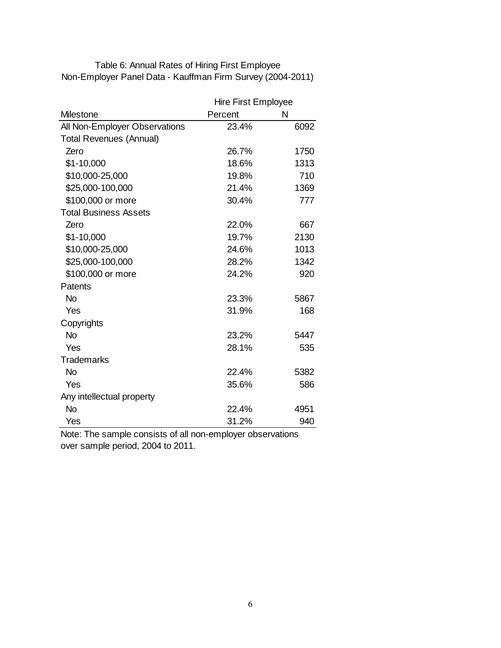|                                | <b>Hire First Employee</b> |      |  |  |  |  |
|--------------------------------|----------------------------|------|--|--|--|--|
| Milestone                      | Percent                    | N    |  |  |  |  |
| All Non-Employer Observations  | 23.4%                      | 6092 |  |  |  |  |
| <b>Total Revenues (Annual)</b> |                            |      |  |  |  |  |
| Zero                           | 26.7%                      | 1750 |  |  |  |  |
| $$1-10,000$                    | 18.6%                      | 1313 |  |  |  |  |
| \$10,000-25,000                | 19.8%                      | 710  |  |  |  |  |
| \$25,000-100,000               | 21.4%                      | 1369 |  |  |  |  |
| \$100,000 or more              | 30.4%                      | 777  |  |  |  |  |
| <b>Total Business Assets</b>   |                            |      |  |  |  |  |
| Zero                           | 22.0%                      | 667  |  |  |  |  |
| $$1-10,000$                    | 19.7%                      | 2130 |  |  |  |  |
| \$10,000-25,000                | 24.6%                      | 1013 |  |  |  |  |
| \$25,000-100,000               | 28.2%                      | 1342 |  |  |  |  |
| \$100,000 or more              | 24.2%                      | 920  |  |  |  |  |
| Patents                        |                            |      |  |  |  |  |
| <b>No</b>                      | 23.3%                      | 5867 |  |  |  |  |
| Yes                            | 31.9%                      | 168  |  |  |  |  |
| Copyrights                     |                            |      |  |  |  |  |
| <b>No</b>                      | 23.2%                      | 5447 |  |  |  |  |
| Yes                            | 28.1%                      | 535  |  |  |  |  |
| <b>Trademarks</b>              |                            |      |  |  |  |  |
| <b>No</b>                      | 22.4%                      | 5382 |  |  |  |  |
| Yes                            | 35.6%                      | 586  |  |  |  |  |
| Any intellectual property      |                            |      |  |  |  |  |
| <b>No</b>                      | 22.4%                      | 4951 |  |  |  |  |
| Yes                            | 31.2%                      | 940  |  |  |  |  |

Table 6: Annual Rates of Hiring First Employee Non-Employer Panel Data - Kauffman Firm Survey (2004-2011)

Note: The sample consists of all non-employer observations over sample period, 2004 to 2011.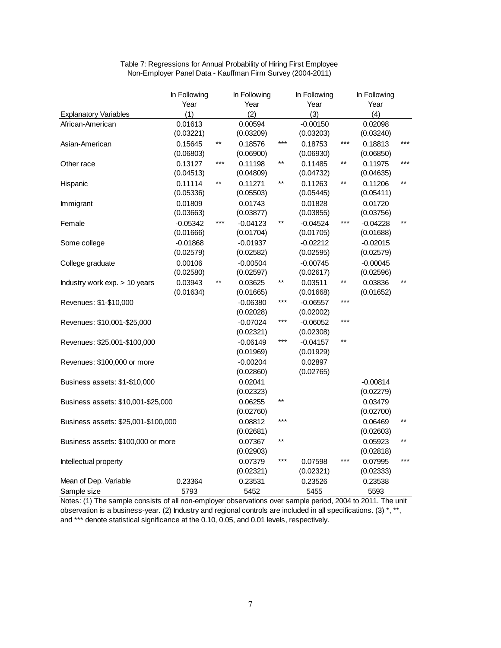|                                     | In Following |       | In Following |                 | In Following |       | In Following |       |
|-------------------------------------|--------------|-------|--------------|-----------------|--------------|-------|--------------|-------|
|                                     | Year         |       | Year         |                 | Year         |       | Year         |       |
| <b>Explanatory Variables</b>        | (1)          |       | (2)          |                 | (3)          |       | (4)          |       |
| African-American                    | 0.01613      |       | 0.00594      |                 | $-0.00150$   |       | 0.02098      |       |
|                                     | (0.03221)    |       | (0.03209)    |                 | (0.03203)    |       | (0.03240)    |       |
| Asian-American                      | 0.15645      | $***$ | 0.18576      | $***$           | 0.18753      | $***$ | 0.18813      | $***$ |
|                                     | (0.06803)    |       | (0.06900)    |                 | (0.06930)    |       | (0.06850)    |       |
| Other race                          | 0.13127      | $***$ | 0.11198      | $^{\star\star}$ | 0.11485      | $***$ | 0.11975      | $***$ |
|                                     | (0.04513)    |       | (0.04809)    |                 | (0.04732)    |       | (0.04635)    |       |
| Hispanic                            | 0.11114      | $***$ | 0.11271      | $***$           | 0.11263      | $***$ | 0.11206      | $***$ |
|                                     | (0.05336)    |       | (0.05503)    |                 | (0.05445)    |       | (0.05411)    |       |
| Immigrant                           | 0.01809      |       | 0.01743      |                 | 0.01828      |       | 0.01720      |       |
|                                     | (0.03663)    |       | (0.03877)    |                 | (0.03855)    |       | (0.03756)    |       |
| Female                              | $-0.05342$   | $***$ | $-0.04123$   | $***$           | $-0.04524$   | $***$ | $-0.04228$   | $***$ |
|                                     | (0.01666)    |       | (0.01704)    |                 | (0.01705)    |       | (0.01688)    |       |
| Some college                        | $-0.01868$   |       | $-0.01937$   |                 | $-0.02212$   |       | $-0.02015$   |       |
|                                     | (0.02579)    |       | (0.02582)    |                 | (0.02595)    |       | (0.02579)    |       |
| College graduate                    | 0.00106      |       | $-0.00504$   |                 | $-0.00745$   |       | $-0.00045$   |       |
|                                     | (0.02580)    |       | (0.02597)    |                 | (0.02617)    |       | (0.02596)    |       |
| Industry work exp. > 10 years       | 0.03943      | $***$ | 0.03625      | $***$           | 0.03511      | $***$ | 0.03836      | $***$ |
|                                     | (0.01634)    |       | (0.01665)    |                 | (0.01668)    |       | (0.01652)    |       |
| Revenues: \$1-\$10,000              |              |       | $-0.06380$   | $***$           | $-0.06557$   | $***$ |              |       |
|                                     |              |       | (0.02028)    |                 | (0.02002)    |       |              |       |
| Revenues: \$10,001-\$25,000         |              |       | $-0.07024$   | $***$           | $-0.06052$   | $***$ |              |       |
|                                     |              |       | (0.02321)    |                 | (0.02308)    |       |              |       |
| Revenues: \$25,001-\$100,000        |              |       | $-0.06149$   | $***$           | $-0.04157$   | $***$ |              |       |
|                                     |              |       | (0.01969)    |                 | (0.01929)    |       |              |       |
| Revenues: \$100,000 or more         |              |       | $-0.00204$   |                 | 0.02897      |       |              |       |
|                                     |              |       | (0.02860)    |                 | (0.02765)    |       |              |       |
| Business assets: \$1-\$10,000       |              |       | 0.02041      |                 |              |       | $-0.00814$   |       |
|                                     |              |       | (0.02323)    |                 |              |       | (0.02279)    |       |
| Business assets: \$10,001-\$25,000  |              |       | 0.06255      | $***$           |              |       | 0.03479      |       |
|                                     |              |       | (0.02760)    |                 |              |       | (0.02700)    |       |
| Business assets: \$25,001-\$100,000 |              |       | 0.08812      | $***$           |              |       | 0.06469      | $***$ |
|                                     |              |       | (0.02681)    |                 |              |       | (0.02603)    |       |
| Business assets: \$100,000 or more  |              |       | 0.07367      | $***$           |              |       | 0.05923      | $***$ |
|                                     |              |       | (0.02903)    |                 |              |       | (0.02818)    |       |
| Intellectual property               |              |       | 0.07379      | $***$           | 0.07598      | ***   | 0.07995      | $***$ |
|                                     |              |       | (0.02321)    |                 | (0.02321)    |       | (0.02333)    |       |
| Mean of Dep. Variable               | 0.23364      |       | 0.23531      |                 | 0.23526      |       | 0.23538      |       |
| Sample size                         | 5793         |       | 5452         |                 | 5455         |       | 5593         |       |

## Table 7: Regressions for Annual Probability of Hiring First Employee Non-Employer Panel Data - Kauffman Firm Survey (2004-2011)

Notes: (1) The sample consists of all non-employer observations over sample period, 2004 to 2011. The unit observation is a business-year. (2) Industry and regional controls are included in all specifications. (3) \*, \*\*, and \*\*\* denote statistical significance at the 0.10, 0.05, and 0.01 levels, respectively.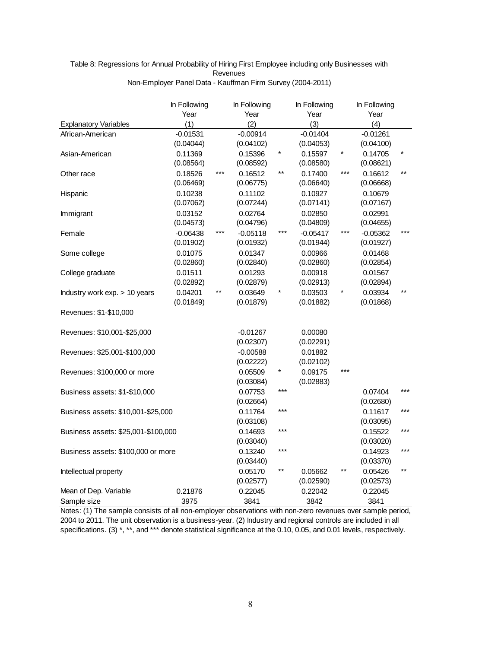### Table 8: Regressions for Annual Probability of Hiring First Employee including only Businesses with Revenues Non-Employer Panel Data - Kauffman Firm Survey (2004-2011)

|                                     | In Following |       | In Following |         | In Following |                 | In Following |       |
|-------------------------------------|--------------|-------|--------------|---------|--------------|-----------------|--------------|-------|
|                                     | Year         |       | Year         |         | Year         |                 | Year         |       |
| <b>Explanatory Variables</b>        | (1)          |       | (2)          |         | (3)          |                 | (4)          |       |
| African-American                    | $-0.01531$   |       | $-0.00914$   |         | $-0.01404$   |                 | $-0.01261$   |       |
|                                     | (0.04044)    |       | (0.04102)    |         | (0.04053)    |                 | (0.04100)    |       |
| Asian-American                      | 0.11369      |       | 0.15396      | $\star$ | 0.15597      | $^\star$        | 0.14705      |       |
|                                     | (0.08564)    |       | (0.08592)    |         | (0.08580)    |                 | (0.08621)    |       |
| Other race                          | 0.18526      | ***   | 0.16512      | $***$   | 0.17400      | $***$           | 0.16612      | $***$ |
|                                     | (0.06469)    |       | (0.06775)    |         | (0.06640)    |                 | (0.06668)    |       |
| Hispanic                            | 0.10238      |       | 0.11102      |         | 0.10927      |                 | 0.10679      |       |
|                                     | (0.07062)    |       | (0.07244)    |         | (0.07141)    |                 | (0.07167)    |       |
| Immigrant                           | 0.03152      |       | 0.02764      |         | 0.02850      |                 | 0.02991      |       |
|                                     | (0.04573)    |       | (0.04796)    |         | (0.04809)    |                 | (0.04655)    |       |
| Female                              | $-0.06438$   | ***   | $-0.05118$   | $***$   | $-0.05417$   | ***             | $-0.05362$   | ***   |
|                                     | (0.01902)    |       | (0.01932)    |         | (0.01944)    |                 | (0.01927)    |       |
| Some college                        | 0.01075      |       | 0.01347      |         | 0.00966      |                 | 0.01468      |       |
|                                     | (0.02860)    |       | (0.02840)    |         | (0.02860)    |                 | (0.02854)    |       |
| College graduate                    | 0.01511      |       | 0.01293      |         | 0.00918      |                 | 0.01567      |       |
|                                     | (0.02892)    |       | (0.02879)    |         | (0.02913)    |                 | (0.02894)    |       |
| Industry work exp. > 10 years       | 0.04201      | $***$ | 0.03649      |         | 0.03503      |                 | 0.03934      | **    |
|                                     | (0.01849)    |       | (0.01879)    |         | (0.01882)    |                 | (0.01868)    |       |
| Revenues: \$1-\$10,000              |              |       |              |         |              |                 |              |       |
| Revenues: \$10,001-\$25,000         |              |       | $-0.01267$   |         | 0.00080      |                 |              |       |
|                                     |              |       | (0.02307)    |         | (0.02291)    |                 |              |       |
| Revenues: \$25,001-\$100,000        |              |       | $-0.00588$   |         | 0.01882      |                 |              |       |
|                                     |              |       | (0.02222)    |         | (0.02102)    |                 |              |       |
| Revenues: \$100,000 or more         |              |       | 0.05509      | $\ast$  | 0.09175      | $***$           |              |       |
|                                     |              |       | (0.03084)    |         | (0.02883)    |                 |              |       |
| Business assets: \$1-\$10,000       |              |       | 0.07753      | $***$   |              |                 | 0.07404      | $***$ |
|                                     |              |       | (0.02664)    |         |              |                 | (0.02680)    |       |
| Business assets: \$10,001-\$25,000  |              |       | 0.11764      | $***$   |              |                 | 0.11617      | ***   |
|                                     |              |       | (0.03108)    |         |              |                 | (0.03095)    |       |
| Business assets: \$25,001-\$100,000 |              |       | 0.14693      | $***$   |              |                 | 0.15522      | $***$ |
|                                     |              |       | (0.03040)    |         |              |                 | (0.03020)    |       |
| Business assets: \$100,000 or more  |              |       | 0.13240      | $***$   |              |                 | 0.14923      | $***$ |
|                                     |              |       | (0.03440)    |         |              |                 | (0.03370)    |       |
| Intellectual property               |              |       | 0.05170      | $***$   | 0.05662      | $^{\star\star}$ | 0.05426      | $***$ |
|                                     |              |       | (0.02577)    |         | (0.02590)    |                 | (0.02573)    |       |
| Mean of Dep. Variable               | 0.21876      |       | 0.22045      |         | 0.22042      |                 | 0.22045      |       |
| Sample size                         | 3975         |       | 3841         |         | 3842         |                 | 3841         |       |

Notes: (1) The sample consists of all non-employer observations with non-zero revenues over sample period, 2004 to 2011. The unit observation is a business-year. (2) Industry and regional controls are included in all specifications. (3) \*, \*\*, and \*\*\* denote statistical significance at the 0.10, 0.05, and 0.01 levels, respectively.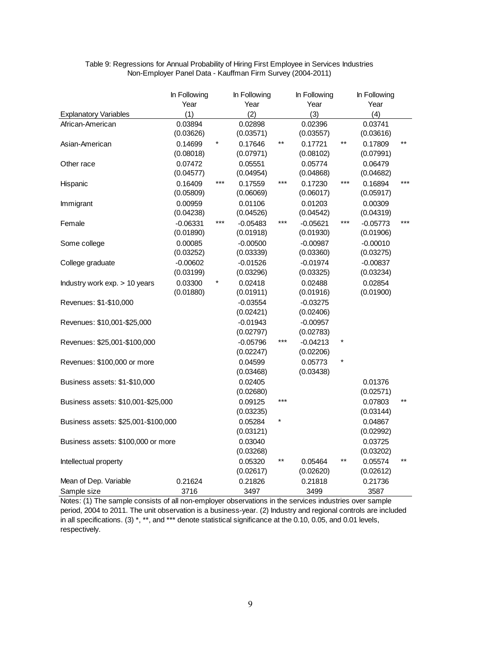|                                     | In Following |         | In Following |                | In Following |       | In Following |       |
|-------------------------------------|--------------|---------|--------------|----------------|--------------|-------|--------------|-------|
|                                     | Year         |         | Year         |                | Year         |       | Year         |       |
| <b>Explanatory Variables</b>        | (1)          |         | (2)          |                | (3)          |       | (4)          |       |
| African-American                    | 0.03894      |         | 0.02898      |                | 0.02396      |       | 0.03741      |       |
|                                     | (0.03626)    |         | (0.03571)    |                | (0.03557)    |       | (0.03616)    |       |
| Asian-American                      | 0.14699      | $\star$ | 0.17646      | $\star\,\star$ | 0.17721      | $***$ | 0.17809      | $***$ |
|                                     | (0.08018)    |         | (0.07971)    |                | (0.08102)    |       | (0.07991)    |       |
| Other race                          | 0.07472      |         | 0.05551      |                | 0.05774      |       | 0.06479      |       |
|                                     | (0.04577)    |         | (0.04954)    |                | (0.04868)    |       | (0.04682)    |       |
| Hispanic                            | 0.16409      | $***$   | 0.17559      | $***$          | 0.17230      | $***$ | 0.16894      | $***$ |
|                                     | (0.05809)    |         | (0.06069)    |                | (0.06017)    |       | (0.05917)    |       |
| Immigrant                           | 0.00959      |         | 0.01106      |                | 0.01203      |       | 0.00309      |       |
|                                     | (0.04238)    |         | (0.04526)    |                | (0.04542)    |       | (0.04319)    |       |
| Female                              | $-0.06331$   | ***     | $-0.05483$   | $***$          | $-0.05621$   | ***   | $-0.05773$   | $***$ |
|                                     | (0.01890)    |         | (0.01918)    |                | (0.01930)    |       | (0.01906)    |       |
| Some college                        | 0.00085      |         | $-0.00500$   |                | $-0.00987$   |       | $-0.00010$   |       |
|                                     | (0.03252)    |         | (0.03339)    |                | (0.03360)    |       | (0.03275)    |       |
| College graduate                    | $-0.00602$   |         | $-0.01526$   |                | $-0.01974$   |       | $-0.00837$   |       |
|                                     | (0.03199)    |         | (0.03296)    |                | (0.03325)    |       | (0.03234)    |       |
| Industry work exp. > 10 years       | 0.03300      |         | 0.02418      |                | 0.02488      |       | 0.02854      |       |
|                                     | (0.01880)    |         | (0.01911)    |                | (0.01916)    |       | (0.01900)    |       |
| Revenues: \$1-\$10,000              |              |         | $-0.03554$   |                | $-0.03275$   |       |              |       |
|                                     |              |         | (0.02421)    |                | (0.02406)    |       |              |       |
| Revenues: \$10,001-\$25,000         |              |         | $-0.01943$   |                | $-0.00957$   |       |              |       |
|                                     |              |         | (0.02797)    |                | (0.02783)    |       |              |       |
| Revenues: \$25,001-\$100,000        |              |         | $-0.05796$   | $***$          | $-0.04213$   |       |              |       |
|                                     |              |         | (0.02247)    |                | (0.02206)    |       |              |       |
| Revenues: \$100,000 or more         |              |         | 0.04599      |                | 0.05773      |       |              |       |
|                                     |              |         | (0.03468)    |                | (0.03438)    |       |              |       |
| Business assets: \$1-\$10,000       |              |         | 0.02405      |                |              |       | 0.01376      |       |
|                                     |              |         | (0.02680)    |                |              |       | (0.02571)    |       |
| Business assets: \$10,001-\$25,000  |              |         | 0.09125      | $***$          |              |       | 0.07803      |       |
|                                     |              |         | (0.03235)    |                |              |       | (0.03144)    |       |
| Business assets: \$25,001-\$100,000 |              |         | 0.05284      | $\star$        |              |       | 0.04867      |       |
|                                     |              |         | (0.03121)    |                |              |       | (0.02992)    |       |
| Business assets: \$100,000 or more  |              |         | 0.03040      |                |              |       | 0.03725      |       |
|                                     |              |         | (0.03268)    |                |              |       | (0.03202)    |       |
| Intellectual property               |              |         | 0.05320      | $***$          | 0.05464      | $***$ | 0.05574      |       |
|                                     |              |         | (0.02617)    |                | (0.02620)    |       | (0.02612)    |       |
| Mean of Dep. Variable               | 0.21624      |         | 0.21826      |                | 0.21818      |       | 0.21736      |       |
| Sample size                         | 3716         |         | 3497         |                | 3499         |       | 3587         |       |

## Table 9: Regressions for Annual Probability of Hiring First Employee in Services Industries Non-Employer Panel Data - Kauffman Firm Survey (2004-2011)

Notes: (1) The sample consists of all non-employer observations in the services industries over sample period, 2004 to 2011. The unit observation is a business-year. (2) Industry and regional controls are included in all specifications. (3) \*, \*\*, and \*\*\* denote statistical significance at the 0.10, 0.05, and 0.01 levels, respectively.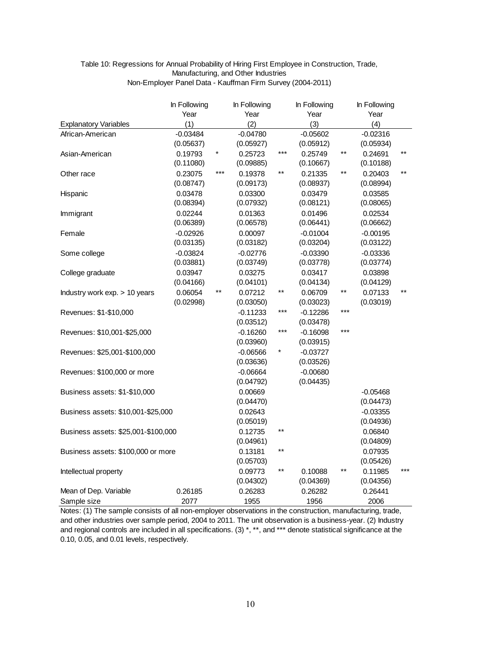### Table 10: Regressions for Annual Probability of Hiring First Employee in Construction, Trade, Manufacturing, and Other Industries Non-Employer Panel Data - Kauffman Firm Survey (2004-2011)

|                                     | In Following |         | In Following |            | In Following |       | In Following |       |
|-------------------------------------|--------------|---------|--------------|------------|--------------|-------|--------------|-------|
|                                     | Year         |         | Year         |            | Year         |       | Year         |       |
| <b>Explanatory Variables</b>        | (1)          |         | (2)          |            | (3)          |       | (4)          |       |
| African-American                    | $-0.03484$   |         | $-0.04780$   |            | $-0.05602$   |       | $-0.02316$   |       |
|                                     | (0.05637)    |         | (0.05927)    |            | (0.05912)    |       | (0.05934)    |       |
| Asian-American                      | 0.19793      | $\star$ | 0.25723      | $***$      | 0.25749      | $***$ | 0.24691      | $***$ |
|                                     | (0.11080)    |         | (0.09885)    |            | (0.10667)    |       | (0.10188)    |       |
| Other race                          | 0.23075      | $***$   | 0.19378      | $***$      | 0.21335      | $***$ | 0.20403      | $***$ |
|                                     | (0.08747)    |         | (0.09173)    |            | (0.08937)    |       | (0.08994)    |       |
| Hispanic                            | 0.03478      |         | 0.03300      |            | 0.03479      |       | 0.03585      |       |
|                                     | (0.08394)    |         | (0.07932)    |            | (0.08121)    |       | (0.08065)    |       |
| Immigrant                           | 0.02244      |         | 0.01363      |            | 0.01496      |       | 0.02534      |       |
|                                     | (0.06389)    |         | (0.06578)    |            | (0.06441)    |       | (0.06662)    |       |
| Female                              | $-0.02926$   |         | 0.00097      |            | $-0.01004$   |       | $-0.00195$   |       |
|                                     | (0.03135)    |         | (0.03182)    |            | (0.03204)    |       | (0.03122)    |       |
| Some college                        | $-0.03824$   |         | $-0.02776$   |            | $-0.03390$   |       | $-0.03336$   |       |
|                                     | (0.03881)    |         | (0.03749)    |            | (0.03778)    |       | (0.03774)    |       |
| College graduate                    | 0.03947      |         | 0.03275      |            | 0.03417      |       | 0.03898      |       |
|                                     | (0.04166)    |         | (0.04101)    |            | (0.04134)    |       | (0.04129)    |       |
| Industry work exp. > 10 years       | 0.06054      | $***$   | 0.07212      | $***$      | 0.06709      | $***$ | 0.07133      | $***$ |
|                                     | (0.02998)    |         | (0.03050)    |            | (0.03023)    |       | (0.03019)    |       |
| Revenues: \$1-\$10,000              |              |         | $-0.11233$   | $***$      | $-0.12286$   | $***$ |              |       |
|                                     |              |         | (0.03512)    |            | (0.03478)    |       |              |       |
| Revenues: \$10,001-\$25,000         |              |         | $-0.16260$   | $***$      | $-0.16098$   | ***   |              |       |
|                                     |              |         | (0.03960)    |            | (0.03915)    |       |              |       |
| Revenues: \$25,001-\$100,000        |              |         | $-0.06566$   | $^{\star}$ | $-0.03727$   |       |              |       |
|                                     |              |         | (0.03636)    |            | (0.03526)    |       |              |       |
| Revenues: \$100,000 or more         |              |         | $-0.06664$   |            | $-0.00680$   |       |              |       |
|                                     |              |         | (0.04792)    |            | (0.04435)    |       |              |       |
| Business assets: \$1-\$10,000       |              |         | 0.00669      |            |              |       | $-0.05468$   |       |
|                                     |              |         | (0.04470)    |            |              |       | (0.04473)    |       |
| Business assets: \$10,001-\$25,000  |              |         | 0.02643      |            |              |       | $-0.03355$   |       |
|                                     |              |         | (0.05019)    |            |              |       | (0.04936)    |       |
| Business assets: \$25,001-\$100,000 |              |         | 0.12735      | $***$      |              |       | 0.06840      |       |
|                                     |              |         | (0.04961)    |            |              |       | (0.04809)    |       |
| Business assets: \$100,000 or more  |              |         | 0.13181      | $***$      |              |       | 0.07935      |       |
|                                     |              |         | (0.05703)    |            |              |       | (0.05426)    |       |
| Intellectual property               |              |         | 0.09773      | $***$      | 0.10088      | $***$ | 0.11985      |       |
|                                     |              |         | (0.04302)    |            | (0.04369)    |       | (0.04356)    |       |
| Mean of Dep. Variable               | 0.26185      |         | 0.26283      |            | 0.26282      |       | 0.26441      |       |
| Sample size                         | 2077         |         | 1955         |            | 1956         |       | 2006         |       |

Notes: (1) The sample consists of all non-employer observations in the construction, manufacturing, trade, and other industries over sample period, 2004 to 2011. The unit observation is a business-year. (2) Industry and regional controls are included in all specifications. (3) \*, \*\*, and \*\*\* denote statistical significance at the 0.10, 0.05, and 0.01 levels, respectively.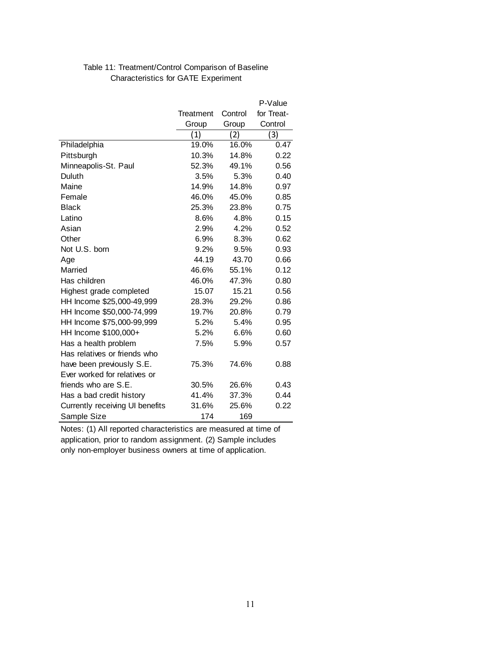## Table 11: Treatment/Control Comparison of Baseline Characteristics for GATE Experiment

|                                 |           |         | P-Value    |
|---------------------------------|-----------|---------|------------|
|                                 | Treatment | Control | for Treat- |
|                                 | Group     | Group   | Control    |
|                                 | (1)       | (2)     | (3)        |
| Philadelphia                    | 19.0%     | 16.0%   | 0.47       |
| Pittsburgh                      | 10.3%     | 14.8%   | 0.22       |
| Minneapolis-St. Paul            | 52.3%     | 49.1%   | 0.56       |
| Duluth                          | 3.5%      | 5.3%    | 0.40       |
| Maine                           | 14.9%     | 14.8%   | 0.97       |
| Female                          | 46.0%     | 45.0%   | 0.85       |
| <b>Black</b>                    | 25.3%     | 23.8%   | 0.75       |
| Latino                          | 8.6%      | 4.8%    | 0.15       |
| Asian                           | 2.9%      | 4.2%    | 0.52       |
| Other                           | 6.9%      | 8.3%    | 0.62       |
| Not U.S. born                   | 9.2%      | 9.5%    | 0.93       |
| Age                             | 44.19     | 43.70   | 0.66       |
| Married                         | 46.6%     | 55.1%   | 0.12       |
| Has children                    | 46.0%     | 47.3%   | 0.80       |
| Highest grade completed         | 15.07     | 15.21   | 0.56       |
| HH Income \$25,000-49,999       | 28.3%     | 29.2%   | 0.86       |
| HH Income \$50,000-74,999       | 19.7%     | 20.8%   | 0.79       |
| HH Income \$75,000-99,999       | 5.2%      | 5.4%    | 0.95       |
| HH Income \$100,000+            | 5.2%      | 6.6%    | 0.60       |
| Has a health problem            | 7.5%      | 5.9%    | 0.57       |
| Has relatives or friends who    |           |         |            |
| have been previously S.E.       | 75.3%     | 74.6%   | 0.88       |
| Ever worked for relatives or    |           |         |            |
| friends who are S.E.            | 30.5%     | 26.6%   | 0.43       |
| Has a bad credit history        | 41.4%     | 37.3%   | 0.44       |
| Currently receiving UI benefits | 31.6%     | 25.6%   | 0.22       |
| Sample Size                     | 174       | 169     |            |

Notes: (1) All reported characteristics are measured at time of application, prior to random assignment. (2) Sample includes only non-employer business owners at time of application.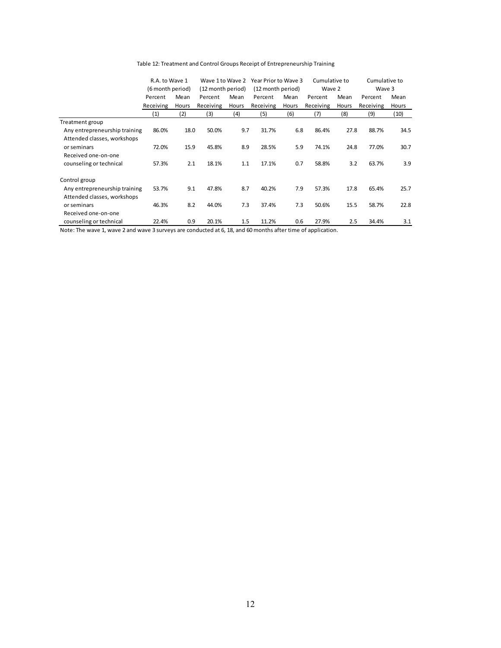#### Table 12: Treatment and Control Groups Receipt of Entrepreneurship Training

|                               | R.A. to Wave 1   |       |                   |       | Wave 1 to Wave 2 Year Prior to Wave 3 |       | Cumulative to |       | Cumulative to |       |
|-------------------------------|------------------|-------|-------------------|-------|---------------------------------------|-------|---------------|-------|---------------|-------|
|                               | (6 month period) |       | (12 month period) |       | (12 month period)                     |       | Wave 2        |       | Wave 3        |       |
|                               | Percent          | Mean  | Percent           | Mean  | Percent                               | Mean  | Percent       | Mean  | Percent       | Mean  |
|                               | Receiving        | Hours | Receiving         | Hours | Receiving                             | Hours | Receiving     | Hours | Receiving     | Hours |
|                               | (1)              | (2)   | (3)               | (4)   | (5)                                   | (6)   | (7)           | (8)   | (9)           | (10)  |
| Treatment group               |                  |       |                   |       |                                       |       |               |       |               |       |
| Any entrepreneurship training | 86.0%            | 18.0  | 50.0%             | 9.7   | 31.7%                                 | 6.8   | 86.4%         | 27.8  | 88.7%         | 34.5  |
| Attended classes, workshops   |                  |       |                   |       |                                       |       |               |       |               |       |
| or seminars                   | 72.0%            | 15.9  | 45.8%             | 8.9   | 28.5%                                 | 5.9   | 74.1%         | 24.8  | 77.0%         | 30.7  |
| Received one-on-one           |                  |       |                   |       |                                       |       |               |       |               |       |
| counseling or technical       | 57.3%            | 2.1   | 18.1%             | 1.1   | 17.1%                                 | 0.7   | 58.8%         | 3.2   | 63.7%         | 3.9   |
| Control group                 |                  |       |                   |       |                                       |       |               |       |               |       |
| Any entrepreneurship training | 53.7%            | 9.1   | 47.8%             | 8.7   | 40.2%                                 | 7.9   | 57.3%         | 17.8  | 65.4%         | 25.7  |
| Attended classes, workshops   |                  |       |                   |       |                                       |       |               |       |               |       |
| or seminars                   | 46.3%            | 8.2   | 44.0%             | 7.3   | 37.4%                                 | 7.3   | 50.6%         | 15.5  | 58.7%         | 22.8  |
| Received one-on-one           |                  |       |                   |       |                                       |       |               |       |               |       |
| counseling or technical       | 22.4%            | 0.9   | 20.1%             | 1.5   | 11.2%                                 | 0.6   | 27.9%         | 2.5   | 34.4%         | 3.1   |

Note: The wave 1, wave 2 and wave 3 surveys are conducted at 6, 18, and 60 months after time of application.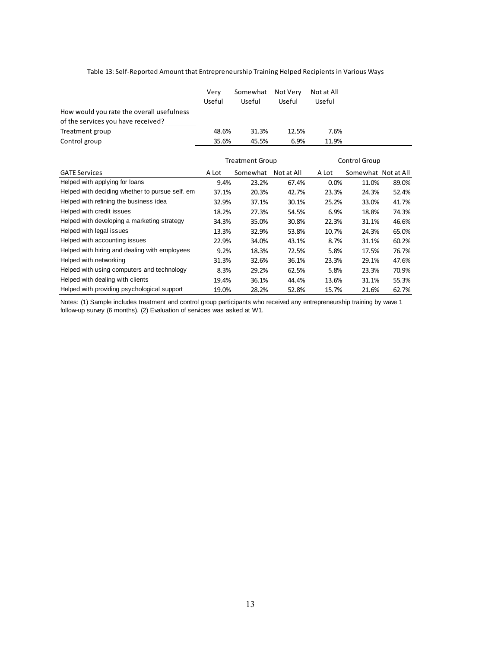#### Table 13: Self‐Reported Amount that Entrepreneurship Training Helped Recipients in Various Ways

|                                                 | Very                   | Somewhat | Not Very   | Not at All    |                     |       |
|-------------------------------------------------|------------------------|----------|------------|---------------|---------------------|-------|
|                                                 | Useful                 | Useful   | Useful     | Useful        |                     |       |
| How would you rate the overall usefulness       |                        |          |            |               |                     |       |
| of the services you have received?              |                        |          |            |               |                     |       |
| Treatment group                                 | 48.6%                  | 31.3%    | 12.5%      | 7.6%          |                     |       |
| Control group                                   | 35.6%                  | 45.5%    | 6.9%       | 11.9%         |                     |       |
|                                                 | <b>Treatment Group</b> |          |            | Control Group |                     |       |
| <b>GATE Services</b>                            | A Lot                  | Somewhat | Not at All | A Lot         | Somewhat Not at All |       |
| Helped with applying for loans                  | 9.4%                   | 23.2%    | 67.4%      | 0.0%          | 11.0%               | 89.0% |
| Helped with deciding whether to pursue self. em | 37.1%                  | 20.3%    | 42.7%      | 23.3%         | 24.3%               | 52.4% |
| Helped with refining the business idea          | 32.9%                  | 37.1%    | 30.1%      | 25.2%         | 33.0%               | 41.7% |
| Helped with credit issues                       | 18.2%                  | 27.3%    | 54.5%      | 6.9%          | 18.8%               | 74.3% |
| Helped with developing a marketing strategy     | 34.3%                  | 35.0%    | 30.8%      | 22.3%         | 31.1%               | 46.6% |
| Helped with legal issues                        | 13.3%                  | 32.9%    | 53.8%      | 10.7%         | 24.3%               | 65.0% |
| Helped with accounting issues                   | 22.9%                  | 34.0%    | 43.1%      | 8.7%          | 31.1%               | 60.2% |
| Helped with hiring and dealing with employees   | 9.2%                   | 18.3%    | 72.5%      | 5.8%          | 17.5%               | 76.7% |
| Helped with networking                          | 31.3%                  | 32.6%    | 36.1%      | 23.3%         | 29.1%               | 47.6% |
| Helped with using computers and technology      | 8.3%                   | 29.2%    | 62.5%      | 5.8%          | 23.3%               | 70.9% |
| Helped with dealing with clients                | 19.4%                  | 36.1%    | 44.4%      | 13.6%         | 31.1%               | 55.3% |
| Helped with providing psychological support     | 19.0%                  | 28.2%    | 52.8%      | 15.7%         | 21.6%               | 62.7% |

Notes: (1) Sample includes treatment and control group participants who received any entrepreneurship training by wave 1 follow-up survey (6 months). (2) Evaluation of services was asked at W1.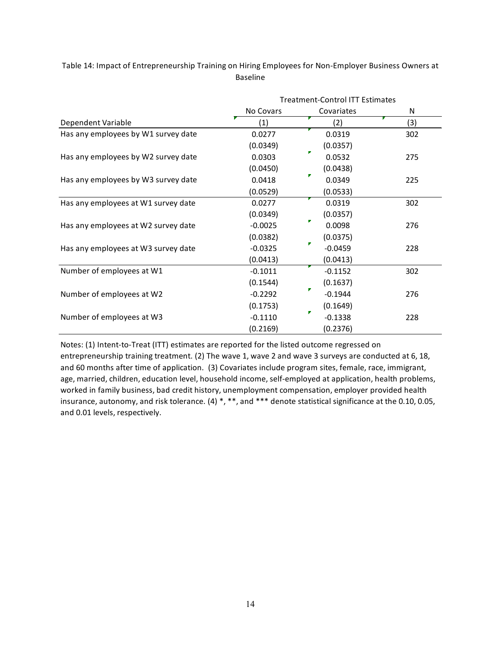Table 14: Impact of Entrepreneurship Training on Hiring Employees for Non‐Employer Business Owners at Baseline

|                                     | <b>Treatment-Control ITT Estimates</b> |   |            |     |  |  |
|-------------------------------------|----------------------------------------|---|------------|-----|--|--|
|                                     | No Covars                              |   | Covariates | N   |  |  |
| Dependent Variable                  | (1)                                    |   | (2)        | (3) |  |  |
| Has any employees by W1 survey date | 0.0277                                 |   | 0.0319     | 302 |  |  |
|                                     | (0.0349)                               |   | (0.0357)   |     |  |  |
| Has any employees by W2 survey date | 0.0303                                 | Г | 0.0532     | 275 |  |  |
|                                     | (0.0450)                               |   | (0.0438)   |     |  |  |
| Has any employees by W3 survey date | 0.0418                                 | Г | 0.0349     | 225 |  |  |
|                                     | (0.0529)                               |   | (0.0533)   |     |  |  |
| Has any employees at W1 survey date | 0.0277                                 |   | 0.0319     | 302 |  |  |
|                                     | (0.0349)                               |   | (0.0357)   |     |  |  |
| Has any employees at W2 survey date | $-0.0025$                              |   | 0.0098     | 276 |  |  |
|                                     | (0.0382)                               |   | (0.0375)   |     |  |  |
| Has any employees at W3 survey date | $-0.0325$                              | Г | $-0.0459$  | 228 |  |  |
|                                     | (0.0413)                               |   | (0.0413)   |     |  |  |
| Number of employees at W1           | $-0.1011$                              |   | $-0.1152$  | 302 |  |  |
|                                     | (0.1544)                               |   | (0.1637)   |     |  |  |
| Number of employees at W2           | $-0.2292$                              |   | $-0.1944$  | 276 |  |  |
|                                     | (0.1753)                               |   | (0.1649)   |     |  |  |
| Number of employees at W3           | $-0.1110$                              | Г | $-0.1338$  | 228 |  |  |
|                                     | (0.2169)                               |   | (0.2376)   |     |  |  |

Notes: (1) Intent-to-Treat (ITT) estimates are reported for the listed outcome regressed on entrepreneurship training treatment. (2) The wave 1, wave 2 and wave 3 surveys are conducted at 6, 18, and 60 months after time of application. (3) Covariates include program sites, female, race, immigrant, age, married, children, education level, household income, self‐employed at application, health problems, worked in family business, bad credit history, unemployment compensation, employer provided health insurance, autonomy, and risk tolerance. (4) \*, \*\*, and \*\*\* denote statistical significance at the 0.10, 0.05, and 0.01 levels, respectively.